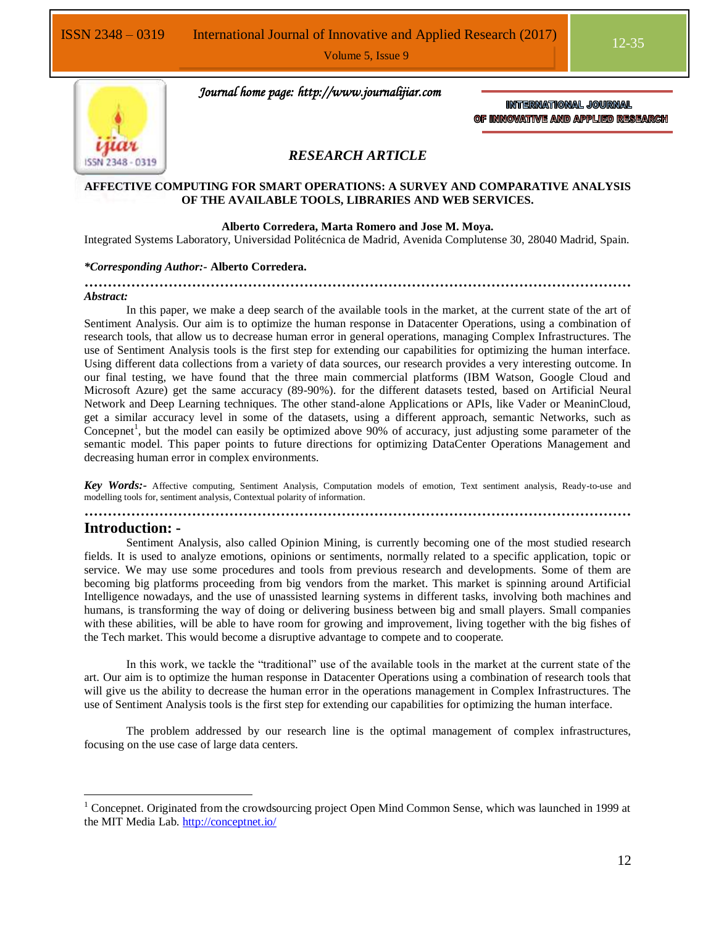

 *Journal home page: http://www.journalijiar.com*

INTERNATIONAL JOURNAL OF INNOVATIVE AND APPLIED RESEARCH

#### *RESEARCH ARTICLE*

#### **AFFECTIVE COMPUTING FOR SMART OPERATIONS: A SURVEY AND COMPARATIVE ANALYSIS OF THE AVAILABLE TOOLS, LIBRARIES AND WEB SERVICES.**

#### **Alberto Corredera, Marta Romero and Jose M. Moya.**

Integrated Systems Laboratory, Universidad Politécnica de Madrid, Avenida Complutense 30, 28040 Madrid, Spain.

#### *\*Corresponding Author:-* **Alberto Corredera.**

**………………………………………………………………………………………………………** *Abstract:*

In this paper, we make a deep search of the available tools in the market, at the current state of the art of Sentiment Analysis. Our aim is to optimize the human response in Datacenter Operations, using a combination of research tools, that allow us to decrease human error in general operations, managing Complex Infrastructures. The use of Sentiment Analysis tools is the first step for extending our capabilities for optimizing the human interface. Using different data collections from a variety of data sources, our research provides a very interesting outcome. In our final testing, we have found that the three main commercial platforms (IBM Watson, Google Cloud and Microsoft Azure) get the same accuracy (89-90%). for the different datasets tested, based on Artificial Neural Network and Deep Learning techniques. The other stand-alone Applications or APIs, like Vader or MeaninCloud, get a similar accuracy level in some of the datasets, using a different approach, semantic Networks, such as Concepnet<sup>1</sup>, but the model can easily be optimized above  $90\%$  of accuracy, just adjusting some parameter of the semantic model. This paper points to future directions for optimizing DataCenter Operations Management and decreasing human error in complex environments.

*Key Words:-* Affective computing, Sentiment Analysis, Computation models of emotion, Text sentiment analysis, Ready-to-use and modelling tools for, sentiment analysis, Contextual polarity of information.

**………………………………………………………………………………………………………**

#### **Introduction: -**

 $\overline{a}$ 

Sentiment Analysis, also called Opinion Mining, is currently becoming one of the most studied research fields. It is used to analyze emotions, opinions or sentiments, normally related to a specific application, topic or service. We may use some procedures and tools from previous research and developments. Some of them are becoming big platforms proceeding from big vendors from the market. This market is spinning around Artificial Intelligence nowadays, and the use of unassisted learning systems in different tasks, involving both machines and humans, is transforming the way of doing or delivering business between big and small players. Small companies with these abilities, will be able to have room for growing and improvement, living together with the big fishes of the Tech market. This would become a disruptive advantage to compete and to cooperate.

In this work, we tackle the "traditional" use of the available tools in the market at the current state of the art. Our aim is to optimize the human response in Datacenter Operations using a combination of research tools that will give us the ability to decrease the human error in the operations management in Complex Infrastructures. The use of Sentiment Analysis tools is the first step for extending our capabilities for optimizing the human interface.

The problem addressed by our research line is the optimal management of complex infrastructures, focusing on the use case of large data centers.

<sup>&</sup>lt;sup>1</sup> Concepnet. Originated from the crowdsourcing project Open Mind Common Sense, which was launched in 1999 at the MIT Media Lab.<http://conceptnet.io/>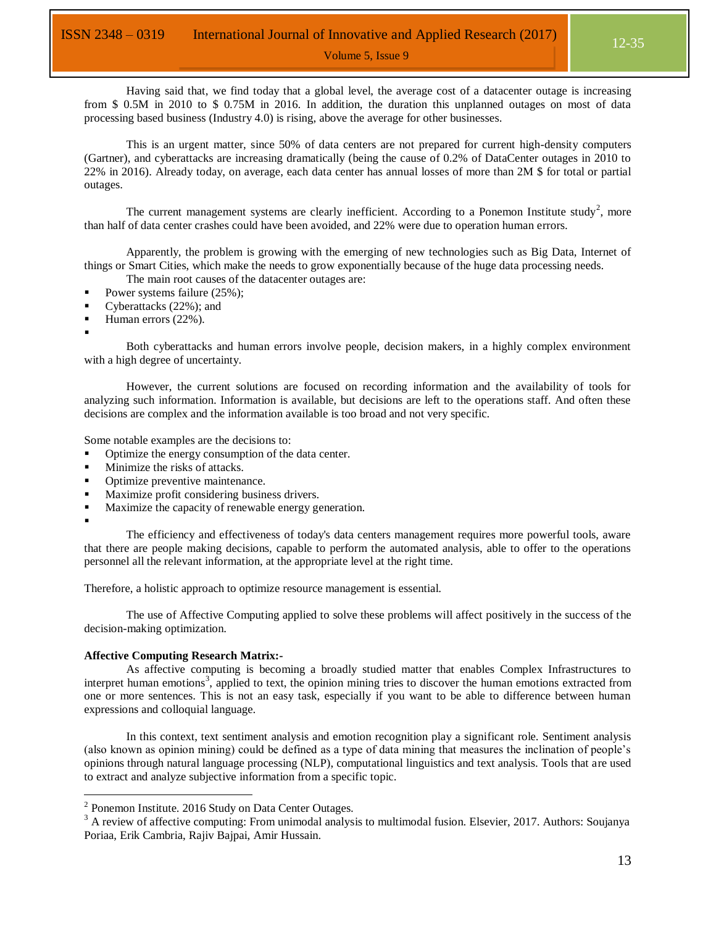Having said that, we find today that a global level, the average cost of a datacenter outage is increasing from \$ 0.5M in 2010 to \$ 0.75M in 2016. In addition, the duration this unplanned outages on most of data processing based business (Industry 4.0) is rising, above the average for other businesses.

This is an urgent matter, since 50% of data centers are not prepared for current high-density computers (Gartner), and cyberattacks are increasing dramatically (being the cause of 0.2% of DataCenter outages in 2010 to 22% in 2016). Already today, on average, each data center has annual losses of more than 2M \$ for total or partial outages.

The current management systems are clearly inefficient. According to a Ponemon Institute study<sup>2</sup>, more than half of data center crashes could have been avoided, and 22% were due to operation human errors.

Apparently, the problem is growing with the emerging of new technologies such as Big Data, Internet of things or Smart Cities, which make the needs to grow exponentially because of the huge data processing needs.

The main root causes of the datacenter outages are:

- Power systems failure (25%);
- Cyberattacks (22%); and
- Human errors (22%).
- :

Both cyberattacks and human errors involve people, decision makers, in a highly complex environment with a high degree of uncertainty.

However, the current solutions are focused on recording information and the availability of tools for analyzing such information. Information is available, but decisions are left to the operations staff. And often these decisions are complex and the information available is too broad and not very specific.

Some notable examples are the decisions to:

- Optimize the energy consumption of the data center.
- Minimize the risks of attacks.
- Optimize preventive maintenance.
- Maximize profit considering business drivers.
- Maximize the capacity of renewable energy generation.

:

 $\overline{a}$ 

The efficiency and effectiveness of today's data centers management requires more powerful tools, aware that there are people making decisions, capable to perform the automated analysis, able to offer to the operations personnel all the relevant information, at the appropriate level at the right time.

Therefore, a holistic approach to optimize resource management is essential.

The use of Affective Computing applied to solve these problems will affect positively in the success of the decision-making optimization.

#### **Affective Computing Research Matrix:-**

As affective computing is becoming a broadly studied matter that enables Complex Infrastructures to interpret human emotions<sup>3</sup>, applied to text, the opinion mining tries to discover the human emotions extracted from one or more sentences. This is not an easy task, especially if you want to be able to difference between human expressions and colloquial language.

In this context, text sentiment analysis and emotion recognition play a significant role. Sentiment analysis (also known as opinion mining) could be defined as a type of data mining that measures the inclination of people's opinions through natural language processing (NLP), computational linguistics and text analysis. Tools that are used to extract and analyze subjective information from a specific topic.

 $2$  Ponemon Institute. 2016 Study on Data Center Outages.

<sup>&</sup>lt;sup>3</sup> A review of affective computing: From unimodal analysis to multimodal fusion. Elsevier, 2017. Authors: Soujanya Poriaa, Erik Cambria, Rajiv Bajpai, Amir Hussain.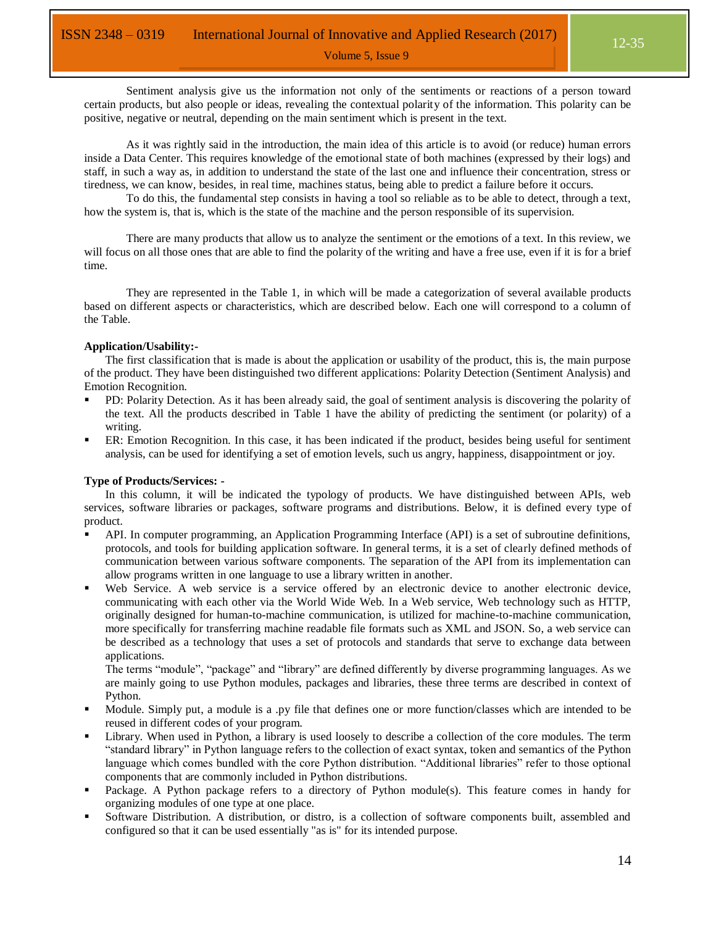Sentiment analysis give us the information not only of the sentiments or reactions of a person toward certain products, but also people or ideas, revealing the contextual polarity of the information. This polarity can be positive, negative or neutral, depending on the main sentiment which is present in the text.

As it was rightly said in the introduction, the main idea of this article is to avoid (or reduce) human errors inside a Data Center. This requires knowledge of the emotional state of both machines (expressed by their logs) and staff, in such a way as, in addition to understand the state of the last one and influence their concentration, stress or tiredness, we can know, besides, in real time, machines status, being able to predict a failure before it occurs.

To do this, the fundamental step consists in having a tool so reliable as to be able to detect, through a text, how the system is, that is, which is the state of the machine and the person responsible of its supervision.

There are many products that allow us to analyze the sentiment or the emotions of a text. In this review, we will focus on all those ones that are able to find the polarity of the writing and have a free use, even if it is for a brief time.

They are represented in the [Table 1,](#page-7-0) in which will be made a categorization of several available products based on different aspects or characteristics, which are described below. Each one will correspond to a column of the Table.

#### **Application/Usability:-**

The first classification that is made is about the application or usability of the product, this is, the main purpose of the product. They have been distinguished two different applications: Polarity Detection (Sentiment Analysis) and Emotion Recognition.

- PD: Polarity Detection. As it has been already said, the goal of sentiment analysis is discovering the polarity of the text. All the products described in [Table 1](#page-7-0) have the ability of predicting the sentiment (or polarity) of a writing.
- ER: Emotion Recognition. In this case, it has been indicated if the product, besides being useful for sentiment analysis, can be used for identifying a set of emotion levels, such us angry, happiness, disappointment or joy.

#### **Type of Products/Services: -**

In this column, it will be indicated the typology of products. We have distinguished between APIs, web services, software libraries or packages, software programs and distributions. Below, it is defined every type of product.

- API. In computer programming, an Application Programming Interface (API) is a set of subroutine definitions, protocols, and tools for building application software. In general terms, it is a set of clearly defined methods of communication between various software components. The separation of the API from its implementation can allow programs written in one language to use a library written in another.
- Web Service. A web service is a service offered by an electronic device to another electronic device, communicating with each other via the World Wide Web. In a Web service, Web technology such as HTTP, originally designed for human-to-machine communication, is utilized for machine-to-machine communication, more specifically for transferring machine readable file formats such as XML and JSON. So, a web service can be described as a technology that uses a set of protocols and standards that serve to exchange data between applications.

The terms "module", "package" and "library" are defined differently by diverse programming languages. As we are mainly going to use Python modules, packages and libraries, these three terms are described in context of Python.

- Module. Simply put, a module is a .py file that defines one or more function/classes which are intended to be reused in different codes of your program.
- Library. When used in Python, a library is used loosely to describe a collection of the core modules. The term "standard library" in Python language refers to the collection of exact syntax, token and semantics of the Python language which comes bundled with the core Python distribution. "Additional libraries" refer to those optional components that are commonly included in Python distributions.
- Package. A Python package refers to a directory of Python module(s). This feature comes in handy for organizing modules of one type at one place.
- Software Distribution. A distribution, or distro, is a collection of software components built, assembled and configured so that it can be used essentially "as is" for its intended purpose.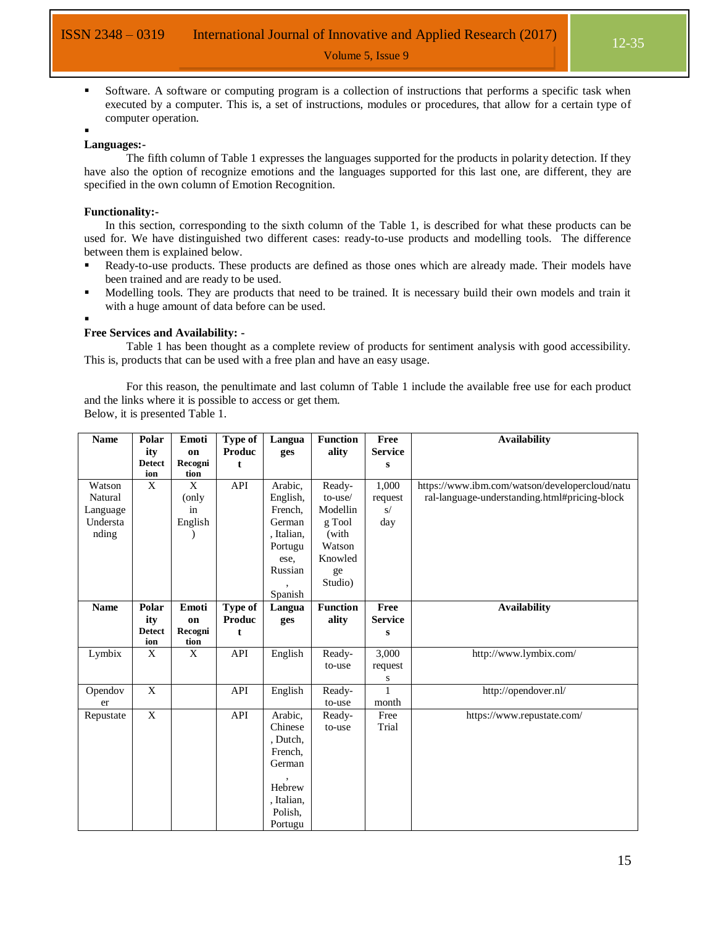Software. A software or computing program is a collection of instructions that performs a specific task when executed by a computer. This is, a set of instructions, modules or procedures, that allow for a certain type of computer operation.

#### **Languages:-**

.

The fifth column of [Table 1](#page-7-0) expresses the languages supported for the products in polarity detection. If they have also the option of recognize emotions and the languages supported for this last one, are different, they are specified in the own column of Emotion Recognition.

#### **Functionality:-**

In this section, corresponding to the sixth column of the [Table 1,](#page-7-0) is described for what these products can be used for. We have distinguished two different cases: ready-to-use products and modelling tools. The difference between them is explained below.

- Ready-to-use products. These products are defined as those ones which are already made. Their models have been trained and are ready to be used.
- Modelling tools. They are products that need to be trained. It is necessary build their own models and train it with a huge amount of data before can be used.
- :

#### **Free Services and Availability: -**

[Table 1](#page-7-0) has been thought as a complete review of products for sentiment analysis with good accessibility. This is, products that can be used with a free plan and have an easy usage.

For this reason, the penultimate and last column of [Table 1](#page-7-0) include the available free use for each product and the links where it is possible to access or get them.

Below, it is presented [Table 1.](#page-7-0)

| <b>Name</b> | Polar                | Emoti         | <b>Type of</b>           | Langua     | <b>Function</b> | Free           | <b>Availability</b>                            |
|-------------|----------------------|---------------|--------------------------|------------|-----------------|----------------|------------------------------------------------|
|             | ity                  | on            | Produc                   | ges        | ality           | <b>Service</b> |                                                |
|             | <b>Detect</b>        | Recogni       | t                        |            |                 | $\bf{s}$       |                                                |
| Watson      | ion<br>X             | tion<br>X     | API                      | Arabic,    | Ready-          | 1,000          | https://www.ibm.com/watson/developercloud/natu |
| Natural     |                      | (only         |                          | English,   | to-use/         | request        | ral-language-understanding.html#pricing-block  |
| Language    |                      | in            |                          | French,    | Modellin        | $\mathrm{s}/$  |                                                |
| Understa    |                      | English       |                          | German     | g Tool          | day            |                                                |
| nding       |                      |               |                          | , Italian, | (with           |                |                                                |
|             |                      |               |                          | Portugu    | Watson          |                |                                                |
|             |                      |               |                          | ese,       | Knowled         |                |                                                |
|             |                      |               |                          | Russian    |                 |                |                                                |
|             |                      |               |                          |            | ge<br>Studio)   |                |                                                |
|             |                      |               |                          | Spanish    |                 |                |                                                |
| <b>Name</b> | Polar                | Emoti         |                          |            | <b>Function</b> | Free           | <b>Availability</b>                            |
|             |                      |               | Type of<br><b>Produc</b> | Langua     |                 | <b>Service</b> |                                                |
|             | ity<br><b>Detect</b> | on<br>Recogni |                          | ges        | ality           |                |                                                |
|             | ion                  | tion          | t                        |            |                 | $\bf{s}$       |                                                |
| Lymbix      | X                    | $\mathbf X$   | API                      | English    | Ready-          | 3,000          | http://www.lymbix.com/                         |
|             |                      |               |                          |            | to-use          | request        |                                                |
|             |                      |               |                          |            |                 | S              |                                                |
| Opendov     | $\mathbf X$          |               | API                      | English    | Ready-          | $\mathbf{1}$   | http://opendover.nl/                           |
| er          |                      |               |                          |            | to-use          | month          |                                                |
| Repustate   | $\overline{X}$       |               | API                      | Arabic,    | Ready-          | Free           | https://www.repustate.com/                     |
|             |                      |               |                          | Chinese    | to-use          | Trial          |                                                |
|             |                      |               |                          | , Dutch,   |                 |                |                                                |
|             |                      |               |                          | French,    |                 |                |                                                |
|             |                      |               |                          | German     |                 |                |                                                |
|             |                      |               |                          |            |                 |                |                                                |
|             |                      |               |                          | Hebrew     |                 |                |                                                |
|             |                      |               |                          | , Italian, |                 |                |                                                |
|             |                      |               |                          | Polish,    |                 |                |                                                |
|             |                      |               |                          | Portugu    |                 |                |                                                |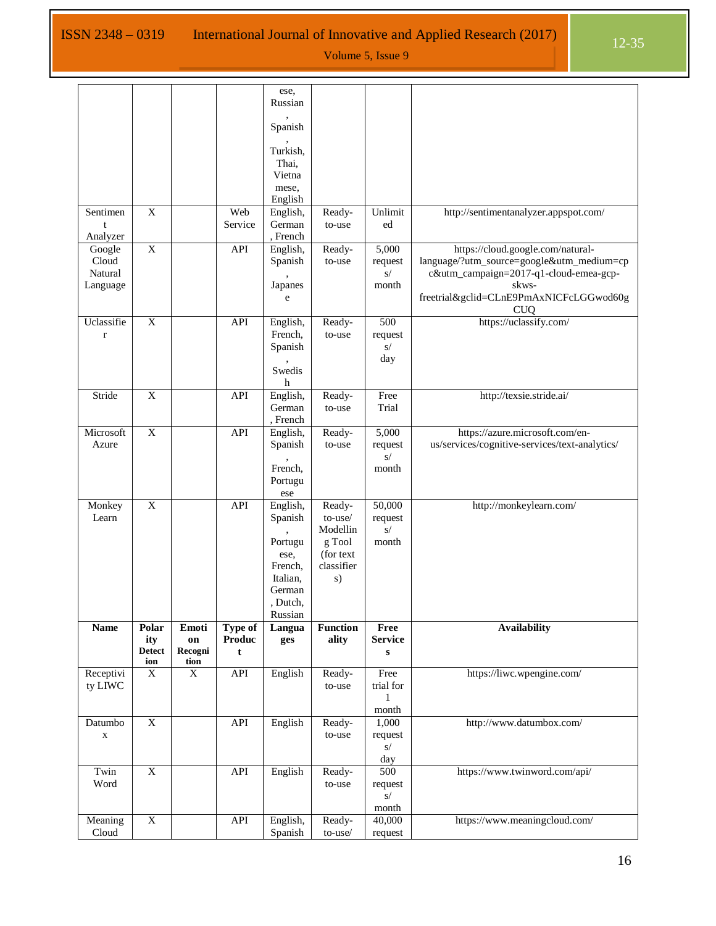| Russian<br>Spanish<br>Turkish,<br>Thai,<br>Vietna<br>mese,<br>English<br>$\overline{X}$<br>Web<br>Unlimit<br>English,<br>Ready-<br>http://sentimentanalyzer.appspot.com/<br>Sentimen<br>German<br>Service<br>ed<br>to-use<br>t<br>, French<br>Analyzer<br>$\overline{X}$<br>API<br>5,000<br>https://cloud.google.com/natural-<br>Google<br>English,<br>Ready-<br>Cloud<br>language/?utm_source=google&utm_medium=cp<br>Spanish<br>to-use<br>request<br>c&utm_campaign=2017-q1-cloud-emea-gcp-<br>Natural<br>$\mathrm{s}/$<br>Japanes<br>$\mathop{\rm month}\nolimits$<br>Language<br>skws-<br>freetrial&gclid=CLnE9PmAxNICFcLGGwod60g<br>e<br><b>CUQ</b><br>https://uclassify.com/<br>Uclassifie<br>$\overline{X}$<br>500<br>API<br>English,<br>Ready-<br>French,<br>request<br>to-use<br>$\mathbf r$<br>Spanish<br>$\mathbf{s}/$<br>day<br>Swedis<br>h<br>Stride<br>$\mathbf X$<br>Free<br>http://texsie.stride.ai/<br>API<br>English,<br>Ready-<br>German<br>Trial<br>to-use<br>, French<br>$\mathbf X$<br>English,<br>5,000<br>Microsoft<br>API<br>https://azure.microsoft.com/en-<br>Ready-<br>us/services/cognitive-services/text-analytics/<br>Spanish<br>Azure<br>to-use<br>request<br>s/<br>French,<br>month<br>Portugu<br>ese<br>50,000<br>$\mathbf X$<br>API<br>English,<br>http://monkeylearn.com/<br>Monkey<br>Ready-<br>to-use/<br>Learn<br>Spanish<br>request<br>s/<br>Modellin<br>Portugu<br>g Tool<br>month<br>(for text)<br>ese,<br>classifier<br>French,<br>Italian,<br>s)<br>German<br>Dutch,<br>Russian<br><b>Function</b><br>Type of<br>Free<br><b>Availability</b><br><b>Name</b><br>Polar<br>Emoti<br>Langua<br><b>Produc</b><br>ality<br><b>Service</b><br>ity<br>on<br>ges<br><b>Detect</b><br>Recogni<br>t<br>${\bf S}$<br>ion<br>tion<br>API<br>English<br>Free<br>https://liwc.wpengine.com/<br>Receptivi<br>$\mathbf X$<br>X<br>Ready-<br>ty LIWC<br>trial for<br>to-use<br>1<br>month<br>$\overline{X}$<br>API<br>English<br>Datumbo<br>Ready-<br>1,000<br>http://www.datumbox.com/<br>to-use<br>request<br>$\mathbf X$<br>S/<br>day<br>$\overline{\textbf{X}}$<br>API<br>English<br>500<br>https://www.twinword.com/api/<br>Twin<br>Ready-<br>Word<br>to-use<br>request<br>$\mathbf{s}/$<br>month<br>$\overline{X}$<br>40,000<br>API<br>English,<br>Ready-<br>https://www.meaningcloud.com/<br>Meaning<br>Cloud<br>Spanish<br>to-use/<br>request |  |  |      |  |  |
|---------------------------------------------------------------------------------------------------------------------------------------------------------------------------------------------------------------------------------------------------------------------------------------------------------------------------------------------------------------------------------------------------------------------------------------------------------------------------------------------------------------------------------------------------------------------------------------------------------------------------------------------------------------------------------------------------------------------------------------------------------------------------------------------------------------------------------------------------------------------------------------------------------------------------------------------------------------------------------------------------------------------------------------------------------------------------------------------------------------------------------------------------------------------------------------------------------------------------------------------------------------------------------------------------------------------------------------------------------------------------------------------------------------------------------------------------------------------------------------------------------------------------------------------------------------------------------------------------------------------------------------------------------------------------------------------------------------------------------------------------------------------------------------------------------------------------------------------------------------------------------------------------------------------------------------------------------------------------------------------------------------------------------------------------------------------------------------------------------------------------------------------------------------------------------------------------------------------------------------------------------------------------------------------------------------------------------------------------------------------------------|--|--|------|--|--|
|                                                                                                                                                                                                                                                                                                                                                                                                                                                                                                                                                                                                                                                                                                                                                                                                                                                                                                                                                                                                                                                                                                                                                                                                                                                                                                                                                                                                                                                                                                                                                                                                                                                                                                                                                                                                                                                                                                                                                                                                                                                                                                                                                                                                                                                                                                                                                                                 |  |  | ese, |  |  |
|                                                                                                                                                                                                                                                                                                                                                                                                                                                                                                                                                                                                                                                                                                                                                                                                                                                                                                                                                                                                                                                                                                                                                                                                                                                                                                                                                                                                                                                                                                                                                                                                                                                                                                                                                                                                                                                                                                                                                                                                                                                                                                                                                                                                                                                                                                                                                                                 |  |  |      |  |  |
|                                                                                                                                                                                                                                                                                                                                                                                                                                                                                                                                                                                                                                                                                                                                                                                                                                                                                                                                                                                                                                                                                                                                                                                                                                                                                                                                                                                                                                                                                                                                                                                                                                                                                                                                                                                                                                                                                                                                                                                                                                                                                                                                                                                                                                                                                                                                                                                 |  |  |      |  |  |
|                                                                                                                                                                                                                                                                                                                                                                                                                                                                                                                                                                                                                                                                                                                                                                                                                                                                                                                                                                                                                                                                                                                                                                                                                                                                                                                                                                                                                                                                                                                                                                                                                                                                                                                                                                                                                                                                                                                                                                                                                                                                                                                                                                                                                                                                                                                                                                                 |  |  |      |  |  |
|                                                                                                                                                                                                                                                                                                                                                                                                                                                                                                                                                                                                                                                                                                                                                                                                                                                                                                                                                                                                                                                                                                                                                                                                                                                                                                                                                                                                                                                                                                                                                                                                                                                                                                                                                                                                                                                                                                                                                                                                                                                                                                                                                                                                                                                                                                                                                                                 |  |  |      |  |  |
|                                                                                                                                                                                                                                                                                                                                                                                                                                                                                                                                                                                                                                                                                                                                                                                                                                                                                                                                                                                                                                                                                                                                                                                                                                                                                                                                                                                                                                                                                                                                                                                                                                                                                                                                                                                                                                                                                                                                                                                                                                                                                                                                                                                                                                                                                                                                                                                 |  |  |      |  |  |
|                                                                                                                                                                                                                                                                                                                                                                                                                                                                                                                                                                                                                                                                                                                                                                                                                                                                                                                                                                                                                                                                                                                                                                                                                                                                                                                                                                                                                                                                                                                                                                                                                                                                                                                                                                                                                                                                                                                                                                                                                                                                                                                                                                                                                                                                                                                                                                                 |  |  |      |  |  |
|                                                                                                                                                                                                                                                                                                                                                                                                                                                                                                                                                                                                                                                                                                                                                                                                                                                                                                                                                                                                                                                                                                                                                                                                                                                                                                                                                                                                                                                                                                                                                                                                                                                                                                                                                                                                                                                                                                                                                                                                                                                                                                                                                                                                                                                                                                                                                                                 |  |  |      |  |  |
|                                                                                                                                                                                                                                                                                                                                                                                                                                                                                                                                                                                                                                                                                                                                                                                                                                                                                                                                                                                                                                                                                                                                                                                                                                                                                                                                                                                                                                                                                                                                                                                                                                                                                                                                                                                                                                                                                                                                                                                                                                                                                                                                                                                                                                                                                                                                                                                 |  |  |      |  |  |
|                                                                                                                                                                                                                                                                                                                                                                                                                                                                                                                                                                                                                                                                                                                                                                                                                                                                                                                                                                                                                                                                                                                                                                                                                                                                                                                                                                                                                                                                                                                                                                                                                                                                                                                                                                                                                                                                                                                                                                                                                                                                                                                                                                                                                                                                                                                                                                                 |  |  |      |  |  |
|                                                                                                                                                                                                                                                                                                                                                                                                                                                                                                                                                                                                                                                                                                                                                                                                                                                                                                                                                                                                                                                                                                                                                                                                                                                                                                                                                                                                                                                                                                                                                                                                                                                                                                                                                                                                                                                                                                                                                                                                                                                                                                                                                                                                                                                                                                                                                                                 |  |  |      |  |  |
|                                                                                                                                                                                                                                                                                                                                                                                                                                                                                                                                                                                                                                                                                                                                                                                                                                                                                                                                                                                                                                                                                                                                                                                                                                                                                                                                                                                                                                                                                                                                                                                                                                                                                                                                                                                                                                                                                                                                                                                                                                                                                                                                                                                                                                                                                                                                                                                 |  |  |      |  |  |
|                                                                                                                                                                                                                                                                                                                                                                                                                                                                                                                                                                                                                                                                                                                                                                                                                                                                                                                                                                                                                                                                                                                                                                                                                                                                                                                                                                                                                                                                                                                                                                                                                                                                                                                                                                                                                                                                                                                                                                                                                                                                                                                                                                                                                                                                                                                                                                                 |  |  |      |  |  |
|                                                                                                                                                                                                                                                                                                                                                                                                                                                                                                                                                                                                                                                                                                                                                                                                                                                                                                                                                                                                                                                                                                                                                                                                                                                                                                                                                                                                                                                                                                                                                                                                                                                                                                                                                                                                                                                                                                                                                                                                                                                                                                                                                                                                                                                                                                                                                                                 |  |  |      |  |  |
|                                                                                                                                                                                                                                                                                                                                                                                                                                                                                                                                                                                                                                                                                                                                                                                                                                                                                                                                                                                                                                                                                                                                                                                                                                                                                                                                                                                                                                                                                                                                                                                                                                                                                                                                                                                                                                                                                                                                                                                                                                                                                                                                                                                                                                                                                                                                                                                 |  |  |      |  |  |
|                                                                                                                                                                                                                                                                                                                                                                                                                                                                                                                                                                                                                                                                                                                                                                                                                                                                                                                                                                                                                                                                                                                                                                                                                                                                                                                                                                                                                                                                                                                                                                                                                                                                                                                                                                                                                                                                                                                                                                                                                                                                                                                                                                                                                                                                                                                                                                                 |  |  |      |  |  |
|                                                                                                                                                                                                                                                                                                                                                                                                                                                                                                                                                                                                                                                                                                                                                                                                                                                                                                                                                                                                                                                                                                                                                                                                                                                                                                                                                                                                                                                                                                                                                                                                                                                                                                                                                                                                                                                                                                                                                                                                                                                                                                                                                                                                                                                                                                                                                                                 |  |  |      |  |  |
|                                                                                                                                                                                                                                                                                                                                                                                                                                                                                                                                                                                                                                                                                                                                                                                                                                                                                                                                                                                                                                                                                                                                                                                                                                                                                                                                                                                                                                                                                                                                                                                                                                                                                                                                                                                                                                                                                                                                                                                                                                                                                                                                                                                                                                                                                                                                                                                 |  |  |      |  |  |
|                                                                                                                                                                                                                                                                                                                                                                                                                                                                                                                                                                                                                                                                                                                                                                                                                                                                                                                                                                                                                                                                                                                                                                                                                                                                                                                                                                                                                                                                                                                                                                                                                                                                                                                                                                                                                                                                                                                                                                                                                                                                                                                                                                                                                                                                                                                                                                                 |  |  |      |  |  |
|                                                                                                                                                                                                                                                                                                                                                                                                                                                                                                                                                                                                                                                                                                                                                                                                                                                                                                                                                                                                                                                                                                                                                                                                                                                                                                                                                                                                                                                                                                                                                                                                                                                                                                                                                                                                                                                                                                                                                                                                                                                                                                                                                                                                                                                                                                                                                                                 |  |  |      |  |  |
|                                                                                                                                                                                                                                                                                                                                                                                                                                                                                                                                                                                                                                                                                                                                                                                                                                                                                                                                                                                                                                                                                                                                                                                                                                                                                                                                                                                                                                                                                                                                                                                                                                                                                                                                                                                                                                                                                                                                                                                                                                                                                                                                                                                                                                                                                                                                                                                 |  |  |      |  |  |
|                                                                                                                                                                                                                                                                                                                                                                                                                                                                                                                                                                                                                                                                                                                                                                                                                                                                                                                                                                                                                                                                                                                                                                                                                                                                                                                                                                                                                                                                                                                                                                                                                                                                                                                                                                                                                                                                                                                                                                                                                                                                                                                                                                                                                                                                                                                                                                                 |  |  |      |  |  |
|                                                                                                                                                                                                                                                                                                                                                                                                                                                                                                                                                                                                                                                                                                                                                                                                                                                                                                                                                                                                                                                                                                                                                                                                                                                                                                                                                                                                                                                                                                                                                                                                                                                                                                                                                                                                                                                                                                                                                                                                                                                                                                                                                                                                                                                                                                                                                                                 |  |  |      |  |  |
|                                                                                                                                                                                                                                                                                                                                                                                                                                                                                                                                                                                                                                                                                                                                                                                                                                                                                                                                                                                                                                                                                                                                                                                                                                                                                                                                                                                                                                                                                                                                                                                                                                                                                                                                                                                                                                                                                                                                                                                                                                                                                                                                                                                                                                                                                                                                                                                 |  |  |      |  |  |
|                                                                                                                                                                                                                                                                                                                                                                                                                                                                                                                                                                                                                                                                                                                                                                                                                                                                                                                                                                                                                                                                                                                                                                                                                                                                                                                                                                                                                                                                                                                                                                                                                                                                                                                                                                                                                                                                                                                                                                                                                                                                                                                                                                                                                                                                                                                                                                                 |  |  |      |  |  |
|                                                                                                                                                                                                                                                                                                                                                                                                                                                                                                                                                                                                                                                                                                                                                                                                                                                                                                                                                                                                                                                                                                                                                                                                                                                                                                                                                                                                                                                                                                                                                                                                                                                                                                                                                                                                                                                                                                                                                                                                                                                                                                                                                                                                                                                                                                                                                                                 |  |  |      |  |  |
|                                                                                                                                                                                                                                                                                                                                                                                                                                                                                                                                                                                                                                                                                                                                                                                                                                                                                                                                                                                                                                                                                                                                                                                                                                                                                                                                                                                                                                                                                                                                                                                                                                                                                                                                                                                                                                                                                                                                                                                                                                                                                                                                                                                                                                                                                                                                                                                 |  |  |      |  |  |
|                                                                                                                                                                                                                                                                                                                                                                                                                                                                                                                                                                                                                                                                                                                                                                                                                                                                                                                                                                                                                                                                                                                                                                                                                                                                                                                                                                                                                                                                                                                                                                                                                                                                                                                                                                                                                                                                                                                                                                                                                                                                                                                                                                                                                                                                                                                                                                                 |  |  |      |  |  |
|                                                                                                                                                                                                                                                                                                                                                                                                                                                                                                                                                                                                                                                                                                                                                                                                                                                                                                                                                                                                                                                                                                                                                                                                                                                                                                                                                                                                                                                                                                                                                                                                                                                                                                                                                                                                                                                                                                                                                                                                                                                                                                                                                                                                                                                                                                                                                                                 |  |  |      |  |  |
|                                                                                                                                                                                                                                                                                                                                                                                                                                                                                                                                                                                                                                                                                                                                                                                                                                                                                                                                                                                                                                                                                                                                                                                                                                                                                                                                                                                                                                                                                                                                                                                                                                                                                                                                                                                                                                                                                                                                                                                                                                                                                                                                                                                                                                                                                                                                                                                 |  |  |      |  |  |
|                                                                                                                                                                                                                                                                                                                                                                                                                                                                                                                                                                                                                                                                                                                                                                                                                                                                                                                                                                                                                                                                                                                                                                                                                                                                                                                                                                                                                                                                                                                                                                                                                                                                                                                                                                                                                                                                                                                                                                                                                                                                                                                                                                                                                                                                                                                                                                                 |  |  |      |  |  |
|                                                                                                                                                                                                                                                                                                                                                                                                                                                                                                                                                                                                                                                                                                                                                                                                                                                                                                                                                                                                                                                                                                                                                                                                                                                                                                                                                                                                                                                                                                                                                                                                                                                                                                                                                                                                                                                                                                                                                                                                                                                                                                                                                                                                                                                                                                                                                                                 |  |  |      |  |  |
|                                                                                                                                                                                                                                                                                                                                                                                                                                                                                                                                                                                                                                                                                                                                                                                                                                                                                                                                                                                                                                                                                                                                                                                                                                                                                                                                                                                                                                                                                                                                                                                                                                                                                                                                                                                                                                                                                                                                                                                                                                                                                                                                                                                                                                                                                                                                                                                 |  |  |      |  |  |
|                                                                                                                                                                                                                                                                                                                                                                                                                                                                                                                                                                                                                                                                                                                                                                                                                                                                                                                                                                                                                                                                                                                                                                                                                                                                                                                                                                                                                                                                                                                                                                                                                                                                                                                                                                                                                                                                                                                                                                                                                                                                                                                                                                                                                                                                                                                                                                                 |  |  |      |  |  |
|                                                                                                                                                                                                                                                                                                                                                                                                                                                                                                                                                                                                                                                                                                                                                                                                                                                                                                                                                                                                                                                                                                                                                                                                                                                                                                                                                                                                                                                                                                                                                                                                                                                                                                                                                                                                                                                                                                                                                                                                                                                                                                                                                                                                                                                                                                                                                                                 |  |  |      |  |  |
|                                                                                                                                                                                                                                                                                                                                                                                                                                                                                                                                                                                                                                                                                                                                                                                                                                                                                                                                                                                                                                                                                                                                                                                                                                                                                                                                                                                                                                                                                                                                                                                                                                                                                                                                                                                                                                                                                                                                                                                                                                                                                                                                                                                                                                                                                                                                                                                 |  |  |      |  |  |
|                                                                                                                                                                                                                                                                                                                                                                                                                                                                                                                                                                                                                                                                                                                                                                                                                                                                                                                                                                                                                                                                                                                                                                                                                                                                                                                                                                                                                                                                                                                                                                                                                                                                                                                                                                                                                                                                                                                                                                                                                                                                                                                                                                                                                                                                                                                                                                                 |  |  |      |  |  |
|                                                                                                                                                                                                                                                                                                                                                                                                                                                                                                                                                                                                                                                                                                                                                                                                                                                                                                                                                                                                                                                                                                                                                                                                                                                                                                                                                                                                                                                                                                                                                                                                                                                                                                                                                                                                                                                                                                                                                                                                                                                                                                                                                                                                                                                                                                                                                                                 |  |  |      |  |  |
|                                                                                                                                                                                                                                                                                                                                                                                                                                                                                                                                                                                                                                                                                                                                                                                                                                                                                                                                                                                                                                                                                                                                                                                                                                                                                                                                                                                                                                                                                                                                                                                                                                                                                                                                                                                                                                                                                                                                                                                                                                                                                                                                                                                                                                                                                                                                                                                 |  |  |      |  |  |
|                                                                                                                                                                                                                                                                                                                                                                                                                                                                                                                                                                                                                                                                                                                                                                                                                                                                                                                                                                                                                                                                                                                                                                                                                                                                                                                                                                                                                                                                                                                                                                                                                                                                                                                                                                                                                                                                                                                                                                                                                                                                                                                                                                                                                                                                                                                                                                                 |  |  |      |  |  |
|                                                                                                                                                                                                                                                                                                                                                                                                                                                                                                                                                                                                                                                                                                                                                                                                                                                                                                                                                                                                                                                                                                                                                                                                                                                                                                                                                                                                                                                                                                                                                                                                                                                                                                                                                                                                                                                                                                                                                                                                                                                                                                                                                                                                                                                                                                                                                                                 |  |  |      |  |  |
|                                                                                                                                                                                                                                                                                                                                                                                                                                                                                                                                                                                                                                                                                                                                                                                                                                                                                                                                                                                                                                                                                                                                                                                                                                                                                                                                                                                                                                                                                                                                                                                                                                                                                                                                                                                                                                                                                                                                                                                                                                                                                                                                                                                                                                                                                                                                                                                 |  |  |      |  |  |
|                                                                                                                                                                                                                                                                                                                                                                                                                                                                                                                                                                                                                                                                                                                                                                                                                                                                                                                                                                                                                                                                                                                                                                                                                                                                                                                                                                                                                                                                                                                                                                                                                                                                                                                                                                                                                                                                                                                                                                                                                                                                                                                                                                                                                                                                                                                                                                                 |  |  |      |  |  |
|                                                                                                                                                                                                                                                                                                                                                                                                                                                                                                                                                                                                                                                                                                                                                                                                                                                                                                                                                                                                                                                                                                                                                                                                                                                                                                                                                                                                                                                                                                                                                                                                                                                                                                                                                                                                                                                                                                                                                                                                                                                                                                                                                                                                                                                                                                                                                                                 |  |  |      |  |  |
|                                                                                                                                                                                                                                                                                                                                                                                                                                                                                                                                                                                                                                                                                                                                                                                                                                                                                                                                                                                                                                                                                                                                                                                                                                                                                                                                                                                                                                                                                                                                                                                                                                                                                                                                                                                                                                                                                                                                                                                                                                                                                                                                                                                                                                                                                                                                                                                 |  |  |      |  |  |
|                                                                                                                                                                                                                                                                                                                                                                                                                                                                                                                                                                                                                                                                                                                                                                                                                                                                                                                                                                                                                                                                                                                                                                                                                                                                                                                                                                                                                                                                                                                                                                                                                                                                                                                                                                                                                                                                                                                                                                                                                                                                                                                                                                                                                                                                                                                                                                                 |  |  |      |  |  |
|                                                                                                                                                                                                                                                                                                                                                                                                                                                                                                                                                                                                                                                                                                                                                                                                                                                                                                                                                                                                                                                                                                                                                                                                                                                                                                                                                                                                                                                                                                                                                                                                                                                                                                                                                                                                                                                                                                                                                                                                                                                                                                                                                                                                                                                                                                                                                                                 |  |  |      |  |  |
|                                                                                                                                                                                                                                                                                                                                                                                                                                                                                                                                                                                                                                                                                                                                                                                                                                                                                                                                                                                                                                                                                                                                                                                                                                                                                                                                                                                                                                                                                                                                                                                                                                                                                                                                                                                                                                                                                                                                                                                                                                                                                                                                                                                                                                                                                                                                                                                 |  |  |      |  |  |
|                                                                                                                                                                                                                                                                                                                                                                                                                                                                                                                                                                                                                                                                                                                                                                                                                                                                                                                                                                                                                                                                                                                                                                                                                                                                                                                                                                                                                                                                                                                                                                                                                                                                                                                                                                                                                                                                                                                                                                                                                                                                                                                                                                                                                                                                                                                                                                                 |  |  |      |  |  |
|                                                                                                                                                                                                                                                                                                                                                                                                                                                                                                                                                                                                                                                                                                                                                                                                                                                                                                                                                                                                                                                                                                                                                                                                                                                                                                                                                                                                                                                                                                                                                                                                                                                                                                                                                                                                                                                                                                                                                                                                                                                                                                                                                                                                                                                                                                                                                                                 |  |  |      |  |  |
|                                                                                                                                                                                                                                                                                                                                                                                                                                                                                                                                                                                                                                                                                                                                                                                                                                                                                                                                                                                                                                                                                                                                                                                                                                                                                                                                                                                                                                                                                                                                                                                                                                                                                                                                                                                                                                                                                                                                                                                                                                                                                                                                                                                                                                                                                                                                                                                 |  |  |      |  |  |
|                                                                                                                                                                                                                                                                                                                                                                                                                                                                                                                                                                                                                                                                                                                                                                                                                                                                                                                                                                                                                                                                                                                                                                                                                                                                                                                                                                                                                                                                                                                                                                                                                                                                                                                                                                                                                                                                                                                                                                                                                                                                                                                                                                                                                                                                                                                                                                                 |  |  |      |  |  |
|                                                                                                                                                                                                                                                                                                                                                                                                                                                                                                                                                                                                                                                                                                                                                                                                                                                                                                                                                                                                                                                                                                                                                                                                                                                                                                                                                                                                                                                                                                                                                                                                                                                                                                                                                                                                                                                                                                                                                                                                                                                                                                                                                                                                                                                                                                                                                                                 |  |  |      |  |  |
|                                                                                                                                                                                                                                                                                                                                                                                                                                                                                                                                                                                                                                                                                                                                                                                                                                                                                                                                                                                                                                                                                                                                                                                                                                                                                                                                                                                                                                                                                                                                                                                                                                                                                                                                                                                                                                                                                                                                                                                                                                                                                                                                                                                                                                                                                                                                                                                 |  |  |      |  |  |
|                                                                                                                                                                                                                                                                                                                                                                                                                                                                                                                                                                                                                                                                                                                                                                                                                                                                                                                                                                                                                                                                                                                                                                                                                                                                                                                                                                                                                                                                                                                                                                                                                                                                                                                                                                                                                                                                                                                                                                                                                                                                                                                                                                                                                                                                                                                                                                                 |  |  |      |  |  |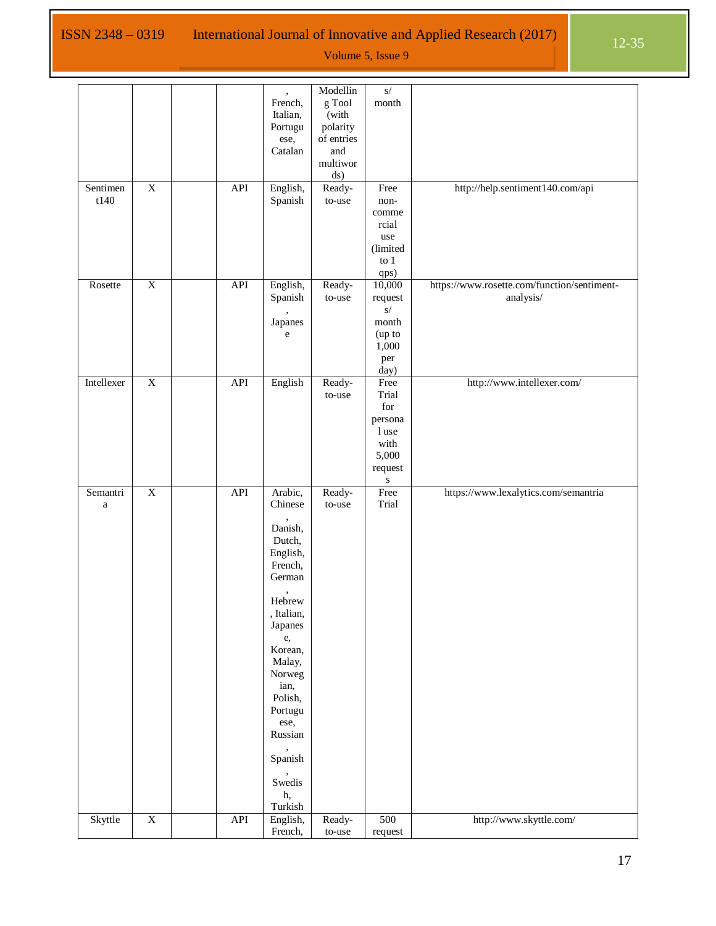|            |                         |            |                                   | Modellin            | $\sqrt{s}$                    |                                             |
|------------|-------------------------|------------|-----------------------------------|---------------------|-------------------------------|---------------------------------------------|
|            |                         |            | French,                           | g Tool              | $\mathop{\rm month}\nolimits$ |                                             |
|            |                         |            | Italian,                          | (with               |                               |                                             |
|            |                         |            | Portugu                           | polarity            |                               |                                             |
|            |                         |            | ese,                              | of entries          |                               |                                             |
|            |                         |            |                                   | and                 |                               |                                             |
|            |                         |            | Catalan                           |                     |                               |                                             |
|            |                         |            |                                   | multiwor            |                               |                                             |
|            |                         |            |                                   | ds)                 |                               |                                             |
| Sentimen   | $\overline{X}$          | API        | English,                          | Ready-              | Free                          | http://help.sentiment140.com/api            |
| t140       |                         |            | Spanish                           | $to$ -use           | non-                          |                                             |
|            |                         |            |                                   |                     | comme                         |                                             |
|            |                         |            |                                   |                     | rcial                         |                                             |
|            |                         |            |                                   |                     |                               |                                             |
|            |                         |            |                                   |                     | use                           |                                             |
|            |                         |            |                                   |                     | (limited                      |                                             |
|            |                         |            |                                   |                     | to 1                          |                                             |
|            |                         |            |                                   |                     | qps)                          |                                             |
| Rosette    | $\overline{\textbf{X}}$ | API        | English,                          | Ready-              | 10,000                        | https://www.rosette.com/function/sentiment- |
|            |                         |            | Spanish                           | $to$ -use           | request                       | analysis/                                   |
|            |                         |            |                                   |                     | s/                            |                                             |
|            |                         |            | Japanes                           |                     | month                         |                                             |
|            |                         |            |                                   |                     |                               |                                             |
|            |                         |            | $\mathbf{e}% _{t}\left( t\right)$ |                     | (up to                        |                                             |
|            |                         |            |                                   |                     | 1,000                         |                                             |
|            |                         |            |                                   |                     | per                           |                                             |
|            |                         |            |                                   |                     | day)                          |                                             |
| Intellexer | $\overline{X}$          | <b>API</b> | English                           | Ready-              | Free                          | http://www.intellexer.com/                  |
|            |                         |            |                                   | to-use              | Trial                         |                                             |
|            |                         |            |                                   |                     | $\operatorname{for}$          |                                             |
|            |                         |            |                                   |                     |                               |                                             |
|            |                         |            |                                   |                     | persona                       |                                             |
|            |                         |            |                                   |                     | l use                         |                                             |
|            |                         |            |                                   |                     | with                          |                                             |
|            |                         |            |                                   |                     | 5,000                         |                                             |
|            |                         |            |                                   |                     | request                       |                                             |
|            |                         |            |                                   |                     | ${\bf S}$                     |                                             |
| Semantri   | $\overline{X}$          | API        | Arabic,                           | Ready-              | Free                          | https://www.lexalytics.com/semantria        |
| $\rm{a}$   |                         |            | Chinese                           | to-use              | Trial                         |                                             |
|            |                         |            |                                   |                     |                               |                                             |
|            |                         |            |                                   |                     |                               |                                             |
|            |                         |            |                                   |                     |                               |                                             |
|            |                         |            | Danish,                           |                     |                               |                                             |
|            |                         |            | Dutch,                            |                     |                               |                                             |
|            |                         |            | English,                          |                     |                               |                                             |
|            |                         |            |                                   |                     |                               |                                             |
|            |                         |            | French,                           |                     |                               |                                             |
|            |                         |            | German                            |                     |                               |                                             |
|            |                         |            |                                   |                     |                               |                                             |
|            |                         |            | Hebrew                            |                     |                               |                                             |
|            |                         |            | , Italian,                        |                     |                               |                                             |
|            |                         |            | Japanes                           |                     |                               |                                             |
|            |                         |            | e,                                |                     |                               |                                             |
|            |                         |            | Korean,                           |                     |                               |                                             |
|            |                         |            |                                   |                     |                               |                                             |
|            |                         |            | Malay,                            |                     |                               |                                             |
|            |                         |            | Norweg                            |                     |                               |                                             |
|            |                         |            | ian,                              |                     |                               |                                             |
|            |                         |            | Polish,                           |                     |                               |                                             |
|            |                         |            | Portugu                           |                     |                               |                                             |
|            |                         |            | ese,                              |                     |                               |                                             |
|            |                         |            | Russian                           |                     |                               |                                             |
|            |                         |            |                                   |                     |                               |                                             |
|            |                         |            |                                   |                     |                               |                                             |
|            |                         |            | Spanish                           |                     |                               |                                             |
|            |                         |            |                                   |                     |                               |                                             |
|            |                         |            | Swedis                            |                     |                               |                                             |
|            |                         |            | h,                                |                     |                               |                                             |
|            |                         |            | Turkish                           |                     |                               |                                             |
| Skyttle    | $\overline{\textbf{X}}$ | API        | English,<br>French,               | Ready-<br>$to$ -use | 500<br>request                | http://www.skyttle.com/                     |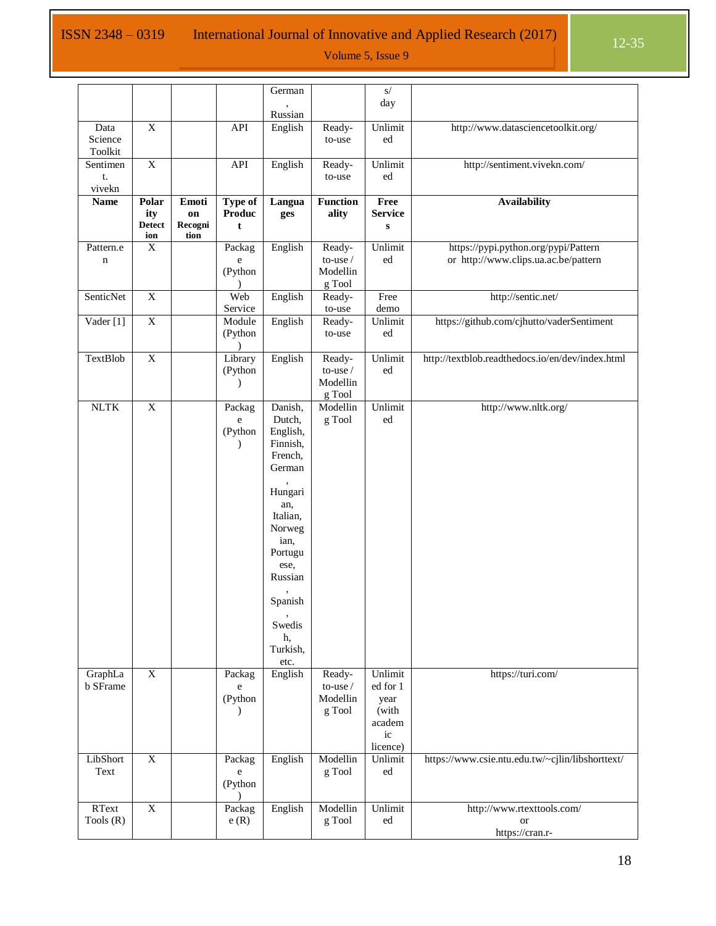# ISSN 2348 – 0319 International Journal of Innovative and Applied Research (2017) 12-35

|                 |                           |             |                          | German             |                          | $\overline{s}/$        |                                                  |
|-----------------|---------------------------|-------------|--------------------------|--------------------|--------------------------|------------------------|--------------------------------------------------|
|                 |                           |             |                          |                    |                          | day                    |                                                  |
| Data            | $\mathbf X$               |             | API                      | Russian<br>English | Ready-                   | Unlimit                | http://www.datasciencetoolkit.org/               |
| Science         |                           |             |                          |                    | to-use                   | ed                     |                                                  |
| Toolkit         |                           |             |                          |                    |                          |                        |                                                  |
| Sentimen        | $\overline{X}$            |             | <b>API</b>               | English            | Ready-                   | Unlimit                | http://sentiment.vivekn.com/                     |
| t.              |                           |             |                          |                    | to-use                   | ed                     |                                                  |
| vivekn          |                           |             |                          |                    |                          |                        |                                                  |
| <b>Name</b>     | Polar<br>ity              | Emoti<br>on | <b>Type of</b><br>Produc | Langua             | <b>Function</b><br>ality | Free<br><b>Service</b> | <b>Availability</b>                              |
|                 | <b>Detect</b>             | Recogni     | t                        | ges                |                          | ${\bf S}$              |                                                  |
|                 | ion                       | tion        |                          |                    |                          |                        |                                                  |
| Pattern.e       | $\overline{X}$            |             | Packag                   | English            | Ready-                   | Unlimit                | https://pypi.python.org/pypi/Pattern             |
| n               |                           |             | e                        |                    | to-use $\mathcal I$      | ed                     | or http://www.clips.ua.ac.be/pattern             |
|                 |                           |             | (Python<br>$\lambda$     |                    | Modellin<br>g Tool       |                        |                                                  |
| SenticNet       | $\overline{X}$            |             | Web                      | English            | Ready-                   | Free                   | http://sentic.net/                               |
|                 |                           |             | Service                  |                    | to-use                   | demo                   |                                                  |
| Vader [1]       | $\overline{\textbf{X}}$   |             | Module                   | English            | Ready-                   | Unlimit                | https://github.com/cjhutto/vaderSentiment        |
|                 |                           |             | (Python                  |                    | to-use                   | ed                     |                                                  |
|                 |                           |             |                          |                    |                          |                        |                                                  |
| <b>TextBlob</b> | $\overline{X}$            |             | Library                  | English            | Ready-                   | Unlimit                | http://textblob.readthedocs.io/en/dev/index.html |
|                 |                           |             | (Python<br>$\lambda$     |                    | to-use /<br>Modellin     | ed                     |                                                  |
|                 |                           |             |                          |                    | g Tool                   |                        |                                                  |
| <b>NLTK</b>     | $\overline{X}$            |             | Packag                   | Danish,            | Modellin                 | Unlimit                | http://www.nltk.org/                             |
|                 |                           |             | e                        | Dutch,             | g Tool                   | ed                     |                                                  |
|                 |                           |             | (Python                  | English,           |                          |                        |                                                  |
|                 |                           |             | $\mathcal{E}$            | Finnish,           |                          |                        |                                                  |
|                 |                           |             |                          | French,            |                          |                        |                                                  |
|                 |                           |             |                          | German             |                          |                        |                                                  |
|                 |                           |             |                          | Hungari            |                          |                        |                                                  |
|                 |                           |             |                          | an,                |                          |                        |                                                  |
|                 |                           |             |                          | Italian,           |                          |                        |                                                  |
|                 |                           |             |                          | Norweg             |                          |                        |                                                  |
|                 |                           |             |                          | ian,               |                          |                        |                                                  |
|                 |                           |             |                          | Portugu            |                          |                        |                                                  |
|                 |                           |             |                          | ese,<br>Russian    |                          |                        |                                                  |
|                 |                           |             |                          |                    |                          |                        |                                                  |
|                 |                           |             |                          | Spanish            |                          |                        |                                                  |
|                 |                           |             |                          | Swedis             |                          |                        |                                                  |
|                 |                           |             |                          | h,                 |                          |                        |                                                  |
|                 |                           |             |                          | Turkish,           |                          |                        |                                                  |
| GraphLa         | $\boldsymbol{\mathrm{X}}$ |             | Packag                   | etc.<br>English    | Ready-                   | Unlimit                | https://turi.com/                                |
| <b>b</b> SFrame |                           |             | $\mathbf e$              |                    | to-use /                 | ed for 1               |                                                  |
|                 |                           |             | (Python                  |                    | Modellin                 | year                   |                                                  |
|                 |                           |             | $\lambda$                |                    | g Tool                   | (with                  |                                                  |
|                 |                           |             |                          |                    |                          | academ                 |                                                  |
|                 |                           |             |                          |                    |                          | ic                     |                                                  |
| LibShort        | $\overline{X}$            |             | Packag                   | English            | Modellin                 | licence)<br>Unlimit    | https://www.csie.ntu.edu.tw/~cjlin/libshorttext/ |
| Text            |                           |             | e                        |                    | g Tool                   | ed                     |                                                  |
|                 |                           |             | (Python                  |                    |                          |                        |                                                  |
|                 |                           |             | $\lambda$                |                    |                          |                        |                                                  |
| RText           | $\overline{X}$            |             | Packag                   | English            | Modellin                 | Unlimit                | http://www.rtexttools.com/                       |
| Tools $(R)$     |                           |             | e(R)                     |                    | g Tool                   | ed                     | <b>or</b>                                        |
|                 |                           |             |                          |                    |                          |                        | https://cran.r-                                  |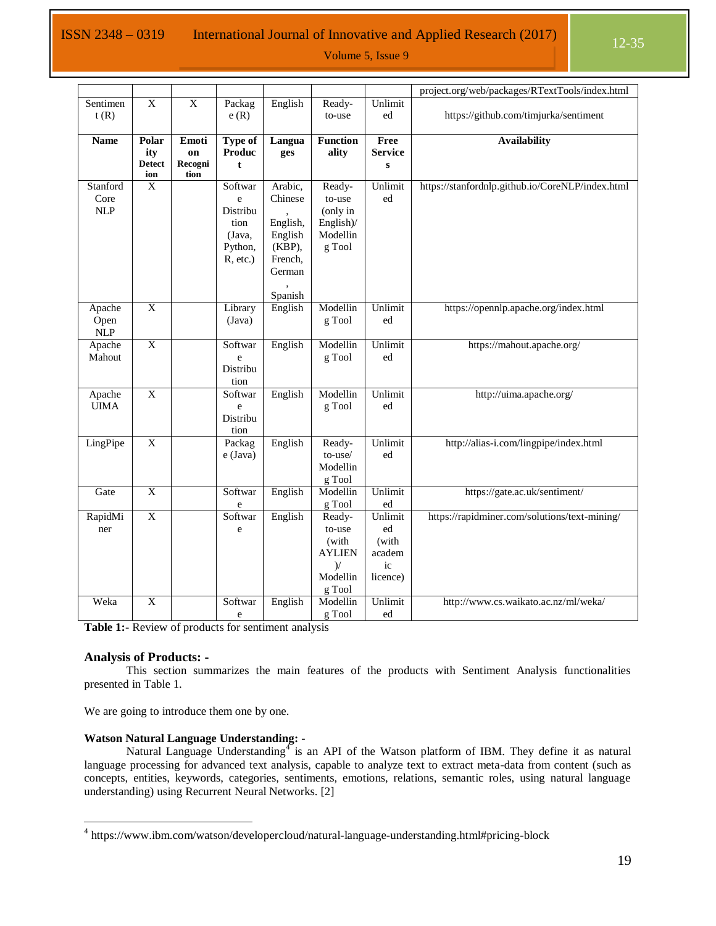## ISSN 2348 – 0319 International Journal of Innovative and Applied Research  $(2017)$  12-35

Volume 5, Issue 9

|                  |                |                         |                |           |                  |                | project.org/web/packages/RTextTools/index.html   |
|------------------|----------------|-------------------------|----------------|-----------|------------------|----------------|--------------------------------------------------|
| Sentimen<br>t(R) | $\overline{X}$ | $\overline{\mathbf{X}}$ | Packag<br>e(R) | English   | Ready-<br>to-use | Unlimit<br>ed  | https://github.com/timjurka/sentiment            |
| <b>Name</b>      | Polar          | Emoti                   | Type of        | Langua    | <b>Function</b>  | Free           | <b>Availability</b>                              |
|                  | ity            | on                      | <b>Produc</b>  | ges       | ality            | <b>Service</b> |                                                  |
|                  | <b>Detect</b>  | Recogni                 | $\mathbf{t}$   |           |                  | ${\bf S}$      |                                                  |
|                  | ion            | tion                    |                |           |                  |                |                                                  |
| Stanford         | $\mathbf X$    |                         | Softwar        | Arabic,   | Ready-           | Unlimit        | https://stanfordnlp.github.io/CoreNLP/index.html |
| Core             |                |                         | e              | Chinese   | to-use           | ed             |                                                  |
| <b>NLP</b>       |                |                         | Distribu       |           | (only in         |                |                                                  |
|                  |                |                         | tion           | English,  | English)/        |                |                                                  |
|                  |                |                         | (Java,         | English   | Modellin         |                |                                                  |
|                  |                |                         | Python,        | $(KBP)$ , | g Tool           |                |                                                  |
|                  |                |                         | R, etc.)       | French,   |                  |                |                                                  |
|                  |                |                         |                | German    |                  |                |                                                  |
|                  |                |                         |                |           |                  |                |                                                  |
|                  |                |                         |                | Spanish   |                  |                |                                                  |
| Apache           | $\overline{X}$ |                         | Library        | English   | Modellin         | Unlimit        | https://opennlp.apache.org/index.html            |
| Open             |                |                         | (Java)         |           | g Tool           | ed             |                                                  |
| NLP              |                |                         |                |           |                  |                |                                                  |
| Apache           | $\overline{X}$ |                         | Softwar        | English   | Modellin         | Unlimit        | https://mahout.apache.org/                       |
| Mahout           |                |                         |                |           |                  | ed             |                                                  |
|                  |                |                         | e<br>Distribu  |           | g Tool           |                |                                                  |
|                  |                |                         |                |           |                  |                |                                                  |
|                  |                |                         | tion           |           |                  |                |                                                  |
| Apache           | $\overline{X}$ |                         | Softwar        | English   | Modellin         | Unlimit        | http://uima.apache.org/                          |
| <b>UIMA</b>      |                |                         | e              |           | g Tool           | ed             |                                                  |
|                  |                |                         | Distribu       |           |                  |                |                                                  |
|                  |                |                         | tion           |           |                  |                |                                                  |
| LingPipe         | $\overline{X}$ |                         | Packag         | English   | Ready-           | Unlimit        | http://alias-i.com/lingpipe/index.html           |
|                  |                |                         | e (Java)       |           | $to$ -use $/$    | ed             |                                                  |
|                  |                |                         |                |           | Modellin         |                |                                                  |
|                  |                |                         |                |           | g Tool           |                |                                                  |
| Gate             | $\overline{X}$ |                         | Softwar        | English   | Modellin         | Unlimit        | https://gate.ac.uk/sentiment/                    |
|                  |                |                         | e              |           | g Tool           | ed             |                                                  |
| RapidMi          | $\overline{X}$ |                         | Softwar        | English   | Ready-           | Unlimit        | https://rapidminer.com/solutions/text-mining/    |
| ner              |                |                         | e              |           | to-use           | ed             |                                                  |
|                  |                |                         |                |           | (with            | (with          |                                                  |
|                  |                |                         |                |           | <b>AYLIEN</b>    | academ         |                                                  |
|                  |                |                         |                |           | $)$ /            | ic             |                                                  |
|                  |                |                         |                |           | Modellin         | licence)       |                                                  |
|                  |                |                         |                |           | g Tool           |                |                                                  |
| Weka             | $\overline{X}$ |                         | Softwar        | English   | Modellin         | Unlimit        | http://www.cs.waikato.ac.nz/ml/weka/             |
|                  |                |                         | e              |           | g Tool           | ed             |                                                  |

<span id="page-7-0"></span>**Table 1:-** Review of products for sentiment analysis

#### **Analysis of Products: -**

 $\overline{a}$ 

This section summarizes the main features of the products with Sentiment Analysis functionalities presented in [Table 1.](#page-7-0) 

We are going to introduce them one by one.

#### **Watson Natural Language Understanding: -**

Natural Language Understanding<sup>4</sup> is an API of the Watson platform of IBM. They define it as natural language processing for advanced text analysis, capable to analyze text to extract meta-data from content (such as concepts, entities, keywords, categories, sentiments, emotions, relations, semantic roles, using natural language understanding) using Recurrent Neural Networks. [2]

<sup>&</sup>lt;sup>4</sup> https://www.ibm.com/watson/developercloud/natural-language-understanding.html#pricing-block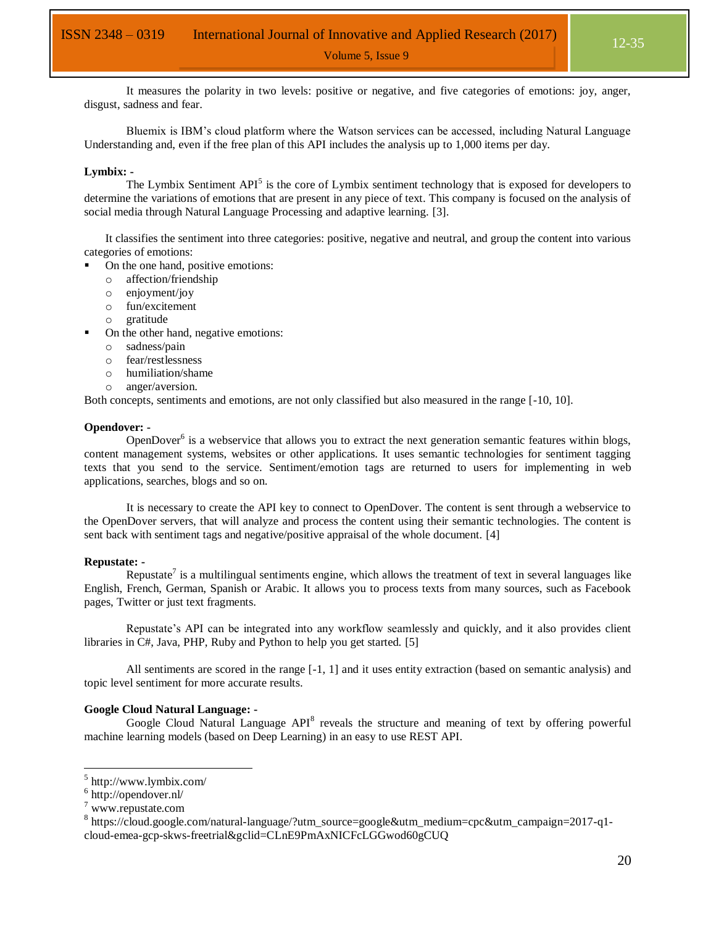It measures the polarity in two levels: positive or negative, and five categories of emotions: joy, anger, disgust, sadness and fear.

Bluemix is IBM's cloud platform where the Watson services can be accessed, including Natural Language Understanding and, even if the free plan of this API includes the analysis up to 1,000 items per day.

#### **Lymbix: -**

The Lymbix Sentiment  $API<sup>5</sup>$  is the core of Lymbix sentiment technology that is exposed for developers to determine the variations of emotions that are present in any piece of text. This company is focused on the analysis of social media through Natural Language Processing and adaptive learning. [3].

It classifies the sentiment into three categories: positive, negative and neutral, and group the content into various categories of emotions:

- On the one hand, positive emotions:
	- o affection/friendship
	- o enjoyment/joy
	- o fun/excitement
	- o gratitude
- On the other hand, negative emotions:
	- o sadness/pain
	- o fear/restlessness
	- o humiliation/shame
	- o anger/aversion.

Both concepts, sentiments and emotions, are not only classified but also measured in the range [-10, 10].

#### **Opendover: -**

OpenDover<sup>6</sup> is a webservice that allows you to extract the next generation semantic features within blogs, content management systems, websites or other applications. It uses semantic technologies for sentiment tagging texts that you send to the service. Sentiment/emotion tags are returned to users for implementing in web applications, searches, blogs and so on.

It is necessary to create the API key to connect to OpenDover. The content is sent through a webservice to the OpenDover servers, that will analyze and process the content using their semantic technologies. The content is sent back with sentiment tags and negative/positive appraisal of the whole document. [4]

#### **Repustate: -**

Repustate<sup>7</sup> is a multilingual sentiments engine, which allows the treatment of text in several languages like English, French, German, Spanish or Arabic. It allows you to process texts from many sources, such as Facebook pages, Twitter or just text fragments.

Repustate's API can be integrated into any workflow seamlessly and quickly, and it also provides client libraries in C#, Java, PHP, Ruby and Python to help you get started. [5]

All sentiments are scored in the range [-1, 1] and it uses entity extraction (based on semantic analysis) and topic level sentiment for more accurate results.

#### **Google Cloud Natural Language: -**

Google Cloud Natural Language API<sup>8</sup> reveals the structure and meaning of text by offering powerful machine learning models (based on Deep Learning) in an easy to use REST API.

<sup>5</sup> http://www.lymbix.com/

<sup>6</sup> http://opendover.nl/

<sup>7</sup> www.repustate.com

<sup>&</sup>lt;sup>8</sup> https://cloud.google.com/natural-language/?utm\_source=google&utm\_medium=cpc&utm\_campaign=2017-q1cloud-emea-gcp-skws-freetrial&gclid=CLnE9PmAxNICFcLGGwod60gCUQ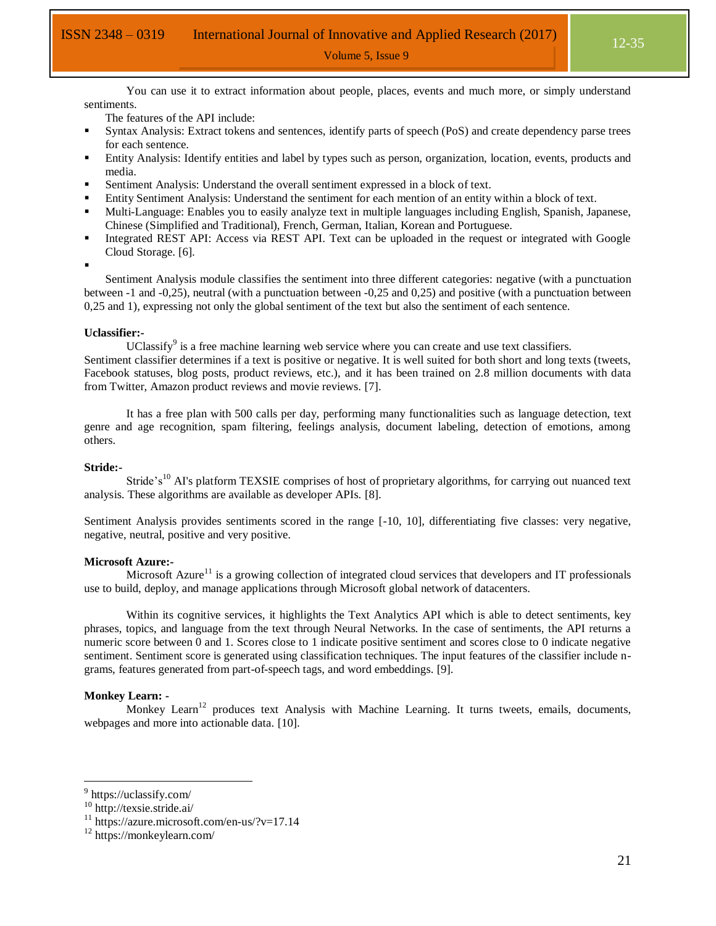You can use it to extract information about people, places, events and much more, or simply understand sentiments.

The features of the API include:

- Syntax Analysis: Extract tokens and sentences, identify parts of speech (PoS) and create dependency parse trees for each sentence.
- Entity Analysis: Identify entities and label by types such as person, organization, location, events, products and media.
- Sentiment Analysis: Understand the overall sentiment expressed in a block of text.
- Entity Sentiment Analysis: Understand the sentiment for each mention of an entity within a block of text.
- Multi-Language: Enables you to easily analyze text in multiple languages including English, Spanish, Japanese, Chinese (Simplified and Traditional), French, German, Italian, Korean and Portuguese.
- Integrated REST API: Access via REST API. Text can be uploaded in the request or integrated with Google Cloud Storage. [6].
- :

Sentiment Analysis module classifies the sentiment into three different categories: negative (with a punctuation between -1 and -0,25), neutral (with a punctuation between -0,25 and 0,25) and positive (with a punctuation between 0,25 and 1), expressing not only the global sentiment of the text but also the sentiment of each sentence.

#### **Uclassifier:-**

UClassify<sup>9</sup> is a free machine learning web service where you can create and use text classifiers.

Sentiment classifier determines if a text is positive or negative. It is well suited for both short and long texts (tweets, Facebook statuses, blog posts, product reviews, etc.), and it has been trained on 2.8 million documents with data from Twitter, Amazon product reviews and movie reviews. [7].

It has a free plan with 500 calls per day, performing many functionalities such as language detection, text genre and age recognition, spam filtering, feelings analysis, document labeling, detection of emotions, among others.

#### **Stride:-**

Stride's<sup>10</sup> AI's platform TEXSIE comprises of host of proprietary algorithms, for carrying out nuanced text analysis. These algorithms are available as developer APIs. [8].

Sentiment Analysis provides sentiments scored in the range [-10, 10], differentiating five classes: very negative, negative, neutral, positive and very positive.

#### **Microsoft Azure:-**

Microsoft Azure<sup>11</sup> is a growing collection of integrated cloud services that developers and IT professionals use to build, deploy, and manage applications through Microsoft global network of datacenters.

Within its cognitive services, it highlights the Text Analytics API which is able to detect sentiments, key phrases, topics, and language from the text through Neural Networks. In the case of sentiments, the API returns a numeric score between 0 and 1. Scores close to 1 indicate positive sentiment and scores close to 0 indicate negative sentiment. Sentiment score is generated using classification techniques. The input features of the classifier include ngrams, features generated from part-of-speech tags, and word embeddings. [9].

#### **Monkey Learn: -**

Monkey Learn<sup>12</sup> produces text Analysis with Machine Learning. It turns tweets, emails, documents, webpages and more into actionable data. [10].

<sup>&</sup>lt;sup>9</sup> https://uclassify.com/

<sup>10</sup> http://texsie.stride.ai/

 $11 \text{ https://azure.microsoft.com/en-us/?v=17.14}$ 

<sup>12</sup> https://monkeylearn.com/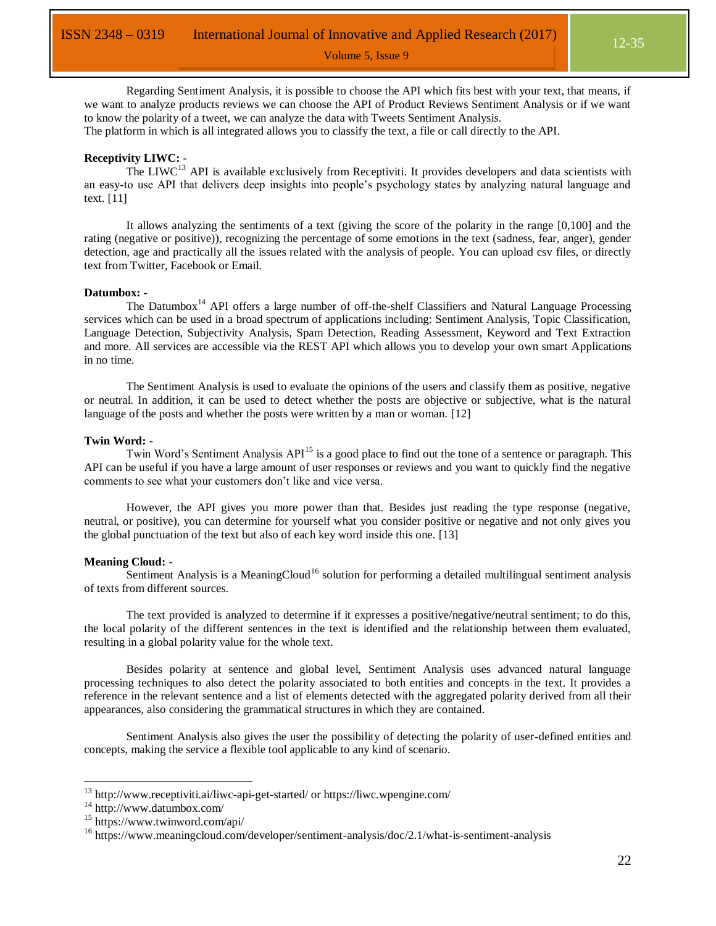Regarding Sentiment Analysis, it is possible to choose the API which fits best with your text, that means, if we want to analyze products reviews we can choose the API of Product Reviews Sentiment Analysis or if we want to know the polarity of a tweet, we can analyze the data with Tweets Sentiment Analysis.

The platform in which is all integrated allows you to classify the text, a file or call directly to the API.

#### **Receptivity LIWC: -**

The LIWC<sup>13</sup> API is available exclusively from Receptiviti. It provides developers and data scientists with an easy-to use API that delivers deep insights into people's psychology states by analyzing natural language and text. [11]

It allows analyzing the sentiments of a text (giving the score of the polarity in the range [0,100] and the rating (negative or positive)), recognizing the percentage of some emotions in the text (sadness, fear, anger), gender detection, age and practically all the issues related with the analysis of people. You can upload csv files, or directly text from Twitter, Facebook or Email.

#### **Datumbox: -**

The Datumbox<sup>14</sup> API offers a large number of off-the-shelf Classifiers and Natural Language Processing services which can be used in a broad spectrum of applications including: Sentiment Analysis, Topic Classification, Language Detection, Subjectivity Analysis, Spam Detection, Reading Assessment, Keyword and Text Extraction and more. All services are accessible via the REST API which allows you to develop your own smart Applications in no time.

The Sentiment Analysis is used to evaluate the opinions of the users and classify them as positive, negative or neutral. In addition, it can be used to detect whether the posts are objective or subjective, what is the natural language of the posts and whether the posts were written by a man or woman. [12]

#### **Twin Word: -**

Twin Word's Sentiment Analysis API<sup>15</sup> is a good place to find out the tone of a sentence or paragraph. This API can be useful if you have a large amount of user responses or reviews and you want to quickly find the negative comments to see what your customers don't like and vice versa.

However, the API gives you more power than that. Besides just reading the type response (negative, neutral, or positive), you can determine for yourself what you consider positive or negative and not only gives you the global punctuation of the text but also of each key word inside this one. [13]

#### **Meaning Cloud: -**

Sentiment Analysis is a MeaningCloud<sup>16</sup> solution for performing a detailed multilingual sentiment analysis of texts from different sources.

The text provided is analyzed to determine if it expresses a positive/negative/neutral sentiment; to do this, the local polarity of the different sentences in the text is identified and the relationship between them evaluated, resulting in a global polarity value for the whole text.

Besides polarity at sentence and global level, Sentiment Analysis uses advanced natural language processing techniques to also detect the polarity associated to both entities and concepts in the text. It provides a reference in the relevant sentence and a list of elements detected with the aggregated polarity derived from all their appearances, also considering the grammatical structures in which they are contained.

Sentiment Analysis also gives the user the possibility of detecting the polarity of user-defined entities and concepts, making the service a flexible tool applicable to any kind of scenario.

<sup>13</sup> http://www.receptiviti.ai/liwc-api-get-started/ or https://liwc.wpengine.com/

<sup>14</sup> http://www.datumbox.com/

<sup>15</sup> https://www.twinword.com/api/

<sup>&</sup>lt;sup>16</sup> https://www.meaningcloud.com/developer/sentiment-analysis/doc/2.1/what-is-sentiment-analysis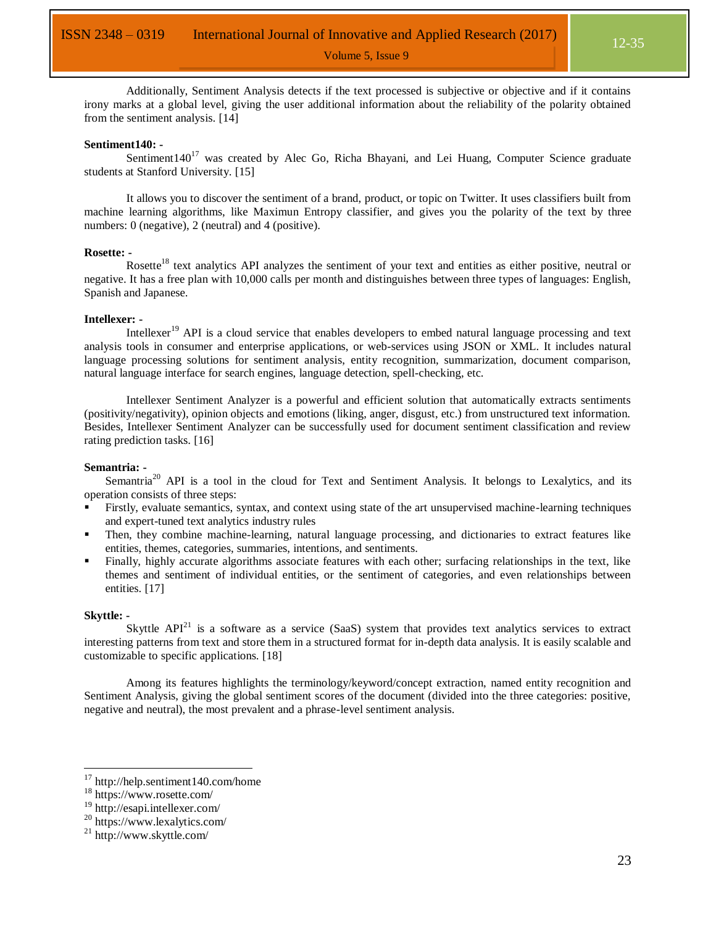Additionally, Sentiment Analysis detects if the text processed is subjective or objective and if it contains irony marks at a global level, giving the user additional information about the reliability of the polarity obtained from the sentiment analysis. [14]

#### **Sentiment140: -**

Sentiment $140^{17}$  was created by Alec Go, Richa Bhayani, and Lei Huang, Computer Science graduate students at Stanford University. [15]

It allows you to discover the sentiment of a brand, product, or topic on Twitter. It uses classifiers built from machine learning algorithms, like Maximun Entropy classifier, and gives you the polarity of the text by three numbers: 0 (negative), 2 (neutral) and 4 (positive).

#### **Rosette: -**

Rosette<sup>18</sup> text analytics API analyzes the sentiment of your text and entities as either positive, neutral or negative. It has a free plan with 10,000 calls per month and distinguishes between three types of languages: English, Spanish and Japanese.

#### **Intellexer: -**

Intellexer<sup>19</sup> API is a cloud service that enables developers to embed natural language processing and text analysis tools in consumer and enterprise applications, or web-services using JSON or XML. It includes natural language processing solutions for sentiment analysis, entity recognition, summarization, document comparison, natural language interface for search engines, language detection, spell-checking, etc.

Intellexer Sentiment Analyzer is a powerful and efficient solution that automatically extracts sentiments (positivity/negativity), opinion objects and emotions (liking, anger, disgust, etc.) from unstructured text information. Besides, Intellexer Sentiment Analyzer can be successfully used for document sentiment classification and review rating prediction tasks. [16]

#### **Semantria: -**

Semantria<sup>20</sup> API is a tool in the cloud for Text and Sentiment Analysis. It belongs to Lexalytics, and its operation consists of three steps:

- Firstly, evaluate semantics, syntax, and context using state of the art unsupervised machine-learning techniques and expert-tuned text analytics industry rules
- Then, they combine machine-learning, natural language processing, and dictionaries to extract features like entities, themes, categories, summaries, intentions, and sentiments.
- Finally, highly accurate algorithms associate features with each other; surfacing relationships in the text, like themes and sentiment of individual entities, or the sentiment of categories, and even relationships between entities. [17]

#### **Skyttle: -**

 $\overline{a}$ 

Skyttle  $API<sup>21</sup>$  is a software as a service (SaaS) system that provides text analytics services to extract interesting patterns from text and store them in a structured format for in-depth data analysis. It is easily scalable and customizable to specific applications. [18]

Among its features highlights the terminology/keyword/concept extraction, named entity recognition and Sentiment Analysis, giving the global sentiment scores of the document (divided into the three categories: positive, negative and neutral), the most prevalent and a phrase-level sentiment analysis.

<sup>17</sup> http://help.sentiment140.com/home

<sup>18</sup> https://www.rosette.com/

<sup>19</sup> http://esapi.intellexer.com/

<sup>20</sup> https://www.lexalytics.com/

<sup>21</sup> http://www.skyttle.com/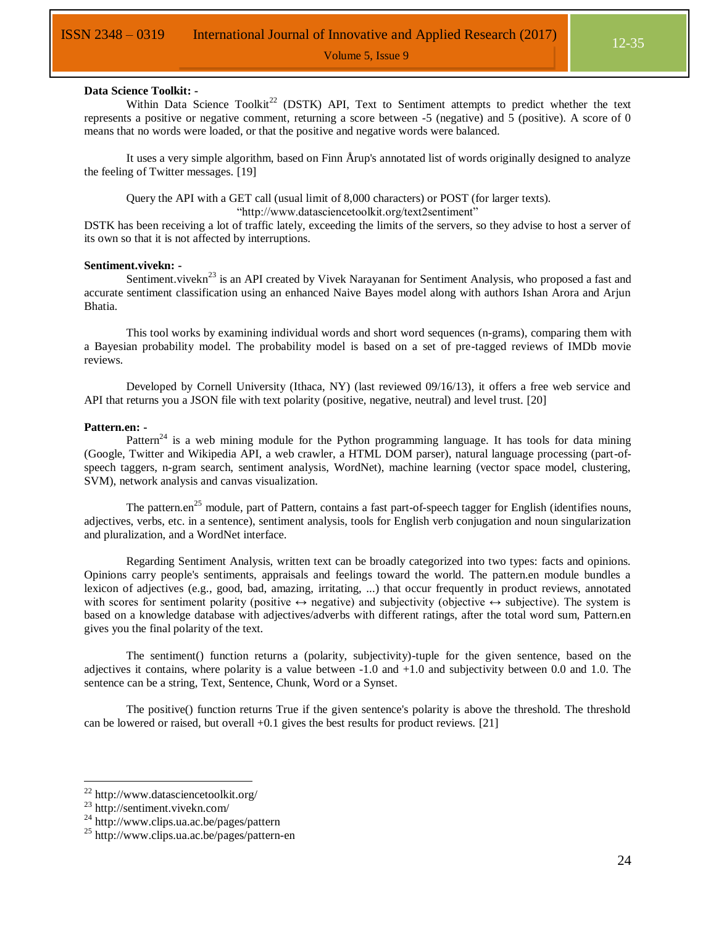#### **Data Science Toolkit: -**

Within Data Science Toolkit<sup>22</sup> (DSTK) API, Text to Sentiment attempts to predict whether the text represents a positive or negative comment, returning a score between -5 (negative) and 5 (positive). A score of 0 means that no words were loaded, or that the positive and negative words were balanced.

It uses a very simple algorithm, based on Finn Årup's annotated list of words originally designed to analyze the feeling of Twitter messages. [19]

Query the API with a GET call (usual limit of 8,000 characters) or POST (for larger texts).

"http://www.datasciencetoolkit.org/text2sentiment"

DSTK has been receiving a lot of traffic lately, exceeding the limits of the servers, so they advise to host a server of its own so that it is not affected by interruptions.

#### **Sentiment.vivekn: -**

Sentiment.vivekn<sup>23</sup> is an API created by Vivek Narayanan for Sentiment Analysis, who proposed a fast and accurate sentiment classification using an enhanced Naive Bayes model along with authors Ishan Arora and Arjun Bhatia.

This tool works by examining individual words and short word sequences (n-grams), comparing them with a Bayesian probability model. The probability model is based on a set of pre-tagged reviews of IMDb movie reviews.

Developed by Cornell University (Ithaca, NY) (last reviewed 09/16/13), it offers a free web service and API that returns you a JSON file with text polarity (positive, negative, neutral) and level trust. [20]

#### **Pattern.en: -**

Pattern<sup>24</sup> is a web mining module for the Python programming language. It has tools for data mining (Google, Twitter and Wikipedia API, a web crawler, a HTML DOM parser), natural language processing (part-ofspeech taggers, n-gram search, sentiment analysis, WordNet), machine learning (vector space model, clustering, SVM), network analysis and canvas visualization.

The pattern.en<sup>25</sup> module, part of Pattern, contains a fast part-of-speech tagger for English (identifies nouns, adjectives, verbs, etc. in a sentence), sentiment analysis, tools for English verb conjugation and noun singularization and pluralization, and a WordNet interface.

Regarding Sentiment Analysis, written text can be broadly categorized into two types: facts and opinions. Opinions carry people's sentiments, appraisals and feelings toward the world. The pattern.en module bundles a lexicon of adjectives (e.g., good, bad, amazing, irritating, ...) that occur frequently in product reviews, annotated with scores for sentiment polarity (positive  $\leftrightarrow$  negative) and subjectivity (objective  $\leftrightarrow$  subjective). The system is based on a knowledge database with adjectives/adverbs with different ratings, after the total word sum, Pattern.en gives you the final polarity of the text.

The sentiment() function returns a (polarity, subjectivity)-tuple for the given sentence, based on the adjectives it contains, where polarity is a value between  $-1.0$  and  $+1.0$  and subjectivity between 0.0 and 1.0. The sentence can be a string, Text, Sentence, Chunk, Word or a Synset.

The positive() function returns True if the given sentence's polarity is above the threshold. The threshold can be lowered or raised, but overall +0.1 gives the best results for product reviews. [21]

<sup>&</sup>lt;sup>22</sup> http://www.datasciencetoolkit.org/

<sup>23</sup> http://sentiment.vivekn.com/

<sup>&</sup>lt;sup>24</sup> http://www.clips.ua.ac.be/pages/pattern

<sup>25</sup> http://www.clips.ua.ac.be/pages/pattern-en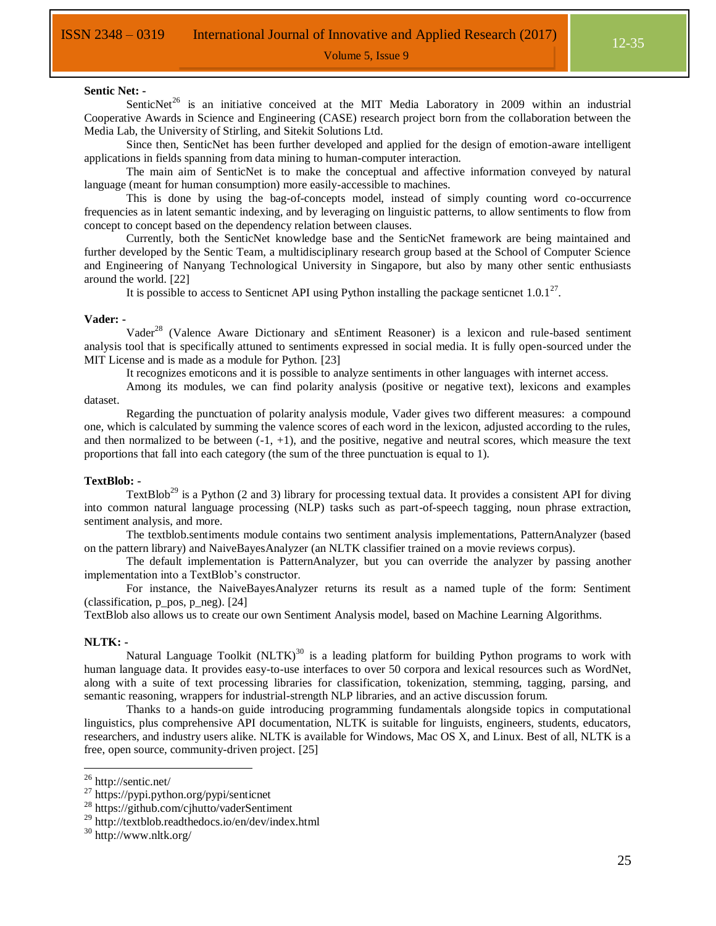#### **Sentic Net: -**

SenticNet<sup>26</sup> is an initiative conceived at the MIT Media Laboratory in 2009 within an industrial Cooperative Awards in Science and Engineering (CASE) research project born from the collaboration between the Media Lab, the University of Stirling, and Sitekit Solutions Ltd.

Since then, SenticNet has been further developed and applied for the design of emotion-aware intelligent applications in fields spanning from data mining to human-computer interaction.

The main aim of SenticNet is to make the conceptual and affective information conveyed by natural language (meant for human consumption) more easily-accessible to machines.

This is done by using the bag-of-concepts model, instead of simply counting word co-occurrence frequencies as in latent semantic indexing, and by leveraging on linguistic patterns, to allow sentiments to flow from concept to concept based on the dependency relation between clauses.

Currently, both the SenticNet knowledge base and the SenticNet framework are being maintained and further developed by the Sentic Team, a multidisciplinary research group based at the School of Computer Science and Engineering of Nanyang Technological University in Singapore, but also by many other sentic enthusiasts around the world. [22]

It is possible to access to Senticnet API using Python installing the package senticnet  $1.0.1^{27}$ .

#### **Vader: -**

Vader<sup>28</sup> (Valence Aware Dictionary and sEntiment Reasoner) is a lexicon and rule-based sentiment analysis tool that is specifically attuned to sentiments expressed in social media. It is fully open-sourced under the MIT License and is made as a module for Python. [23]

It recognizes emoticons and it is possible to analyze sentiments in other languages with internet access.

Among its modules, we can find polarity analysis (positive or negative text), lexicons and examples dataset.

Regarding the punctuation of polarity analysis module, Vader gives two different measures: a compound one, which is calculated by summing the valence scores of each word in the lexicon, adjusted according to the rules, and then normalized to be between  $(-1, +1)$ , and the positive, negative and neutral scores, which measure the text proportions that fall into each category (the sum of the three punctuation is equal to 1).

#### **TextBlob: -**

TextBlob<sup>29</sup> is a Python (2 and 3) library for processing textual data. It provides a consistent API for diving into common natural language processing (NLP) tasks such as part-of-speech tagging, noun phrase extraction, sentiment analysis, and more.

The textblob.sentiments module contains two sentiment analysis implementations, PatternAnalyzer (based on the pattern library) and NaiveBayesAnalyzer (an NLTK classifier trained on a movie reviews corpus).

The default implementation is PatternAnalyzer, but you can override the analyzer by passing another implementation into a TextBlob's constructor.

For instance, the NaiveBayesAnalyzer returns its result as a named tuple of the form: Sentiment (classification,  $p$  pos,  $p$  neg). [24]

TextBlob also allows us to create our own Sentiment Analysis model, based on Machine Learning Algorithms.

#### **NLTK: -**

 $\overline{a}$ 

Natural Language Toolkit (NLTK)<sup>30</sup> is a leading platform for building Python programs to work with human language data. It provides easy-to-use interfaces to over 50 corpora and lexical resources such as WordNet, along with a suite of text processing libraries for classification, tokenization, stemming, tagging, parsing, and semantic reasoning, wrappers for industrial-strength NLP libraries, and an active discussion forum.

Thanks to a hands-on guide introducing programming fundamentals alongside topics in computational linguistics, plus comprehensive API documentation, NLTK is suitable for linguists, engineers, students, educators, researchers, and industry users alike. NLTK is available for Windows, Mac OS X, and Linux. Best of all, NLTK is a free, open source, community-driven project. [25]

<sup>&</sup>lt;sup>26</sup> http://sentic.net/

 $^{27}$  https://pypi.python.org/pypi/senticnet

<sup>28</sup> https://github.com/cjhutto/vaderSentiment

<sup>29</sup> http://textblob.readthedocs.io/en/dev/index.html

<sup>30</sup> http://www.nltk.org/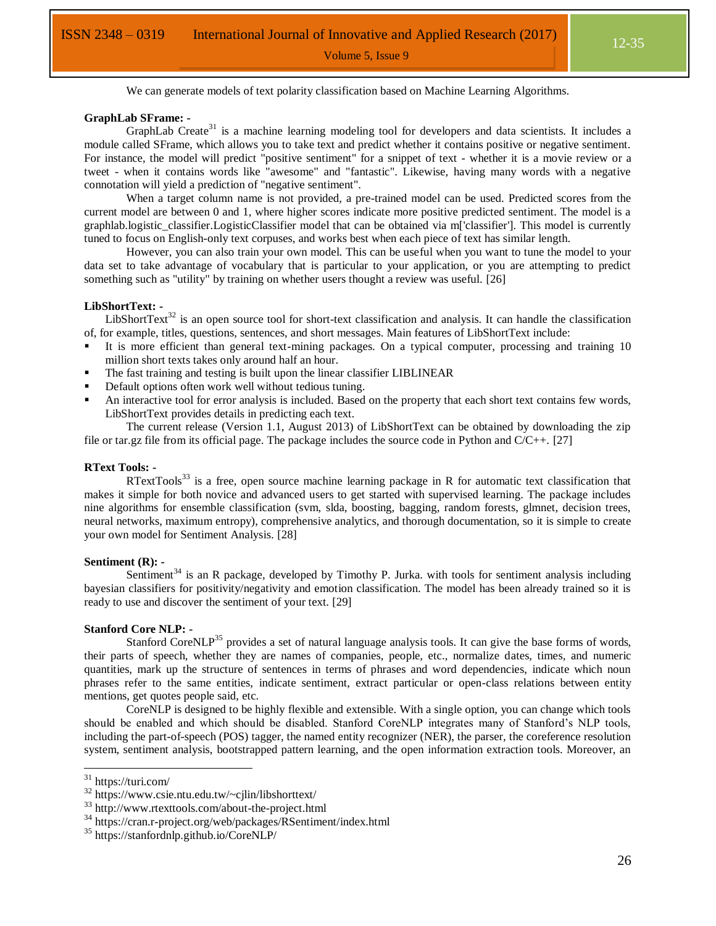We can generate models of text polarity classification based on Machine Learning Algorithms.

#### **GraphLab SFrame: -**

GraphLab Create<sup>31</sup> is a machine learning modeling tool for developers and data scientists. It includes a module called SFrame, which allows you to take text and predict whether it contains positive or negative sentiment. For instance, the model will predict "positive sentiment" for a snippet of text - whether it is a movie review or a tweet - when it contains words like "awesome" and "fantastic". Likewise, having many words with a negative connotation will yield a prediction of "negative sentiment".

When a target column name is not provided, a pre-trained model can be used. Predicted scores from the current model are between 0 and 1, where higher scores indicate more positive predicted sentiment. The model is a graphlab.logistic classifier.LogisticClassifier model that can be obtained via m['classifier']. This model is currently tuned to focus on English-only text corpuses, and works best when each piece of text has similar length.

However, you can also train your own model. This can be useful when you want to tune the model to your data set to take advantage of vocabulary that is particular to your application, or you are attempting to predict something such as "utility" by training on whether users thought a review was useful. [26]

#### **LibShortText: -**

LibShortText<sup>32</sup> is an open source tool for short-text classification and analysis. It can handle the classification of, for example, titles, questions, sentences, and short messages. Main features of LibShortText include:

- It is more efficient than general text-mining packages. On a typical computer, processing and training 10 million short texts takes only around half an hour.
- The fast training and testing is built upon the linear classifier LIBLINEAR
- Default options often work well without tedious tuning.
- An interactive tool for error analysis is included. Based on the property that each short text contains few words, LibShortText provides details in predicting each text.

The current release (Version 1.1, August 2013) of LibShortText can be obtained by downloading the zip file or tar.gz file from its official page. The package includes the source code in Python and C/C++. [27]

#### **RText Tools: -**

 $RTextTools<sup>33</sup>$  is a free, open source machine learning package in R for automatic text classification that makes it simple for both novice and advanced users to get started with supervised learning. The package includes nine algorithms for ensemble classification (svm, slda, boosting, bagging, random forests, glmnet, decision trees, neural networks, maximum entropy), comprehensive analytics, and thorough documentation, so it is simple to create your own model for Sentiment Analysis. [28]

#### **Sentiment (R): -**

Sentiment<sup>34</sup> is an R package, developed by Timothy P. Jurka. with tools for sentiment analysis including bayesian classifiers for positivity/negativity and emotion classification. The model has been already trained so it is ready to use and discover the sentiment of your text. [29]

#### **Stanford Core NLP: -**

Stanford CoreNLP<sup>35</sup> provides a set of natural language analysis tools. It can give the base forms of words, their parts of speech, whether they are names of companies, people, etc., normalize dates, times, and numeric quantities, mark up the structure of sentences in terms of phrases and word dependencies, indicate which noun phrases refer to the same entities, indicate sentiment, extract particular or open-class relations between entity mentions, get quotes people said, etc.

CoreNLP is designed to be highly flexible and extensible. With a single option, you can change which tools should be enabled and which should be disabled. Stanford CoreNLP integrates many of Stanford's NLP tools, including the part-of-speech (POS) tagger, the named entity recognizer (NER), the parser, the coreference resolution system, sentiment analysis, bootstrapped pattern learning, and the open information extraction tools. Moreover, an

<sup>31</sup> https://turi.com/

<sup>32</sup> https://www.csie.ntu.edu.tw/~cjlin/libshorttext/

<sup>33</sup> http://www.rtexttools.com/about-the-project.html

<sup>34</sup> https://cran.r-project.org/web/packages/RSentiment/index.html

<sup>35</sup> https://stanfordnlp.github.io/CoreNLP/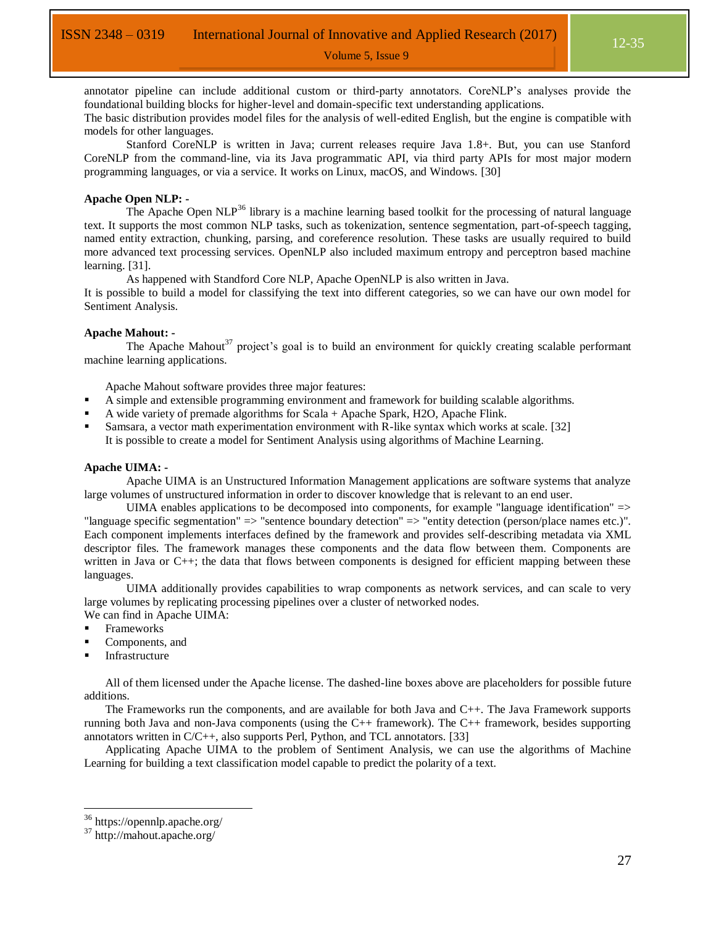annotator pipeline can include additional custom or third-party annotators. CoreNLP's analyses provide the foundational building blocks for higher-level and domain-specific text understanding applications.

Volume 5, Issue 9

The basic distribution provides model files for the analysis of well-edited English, but the engine is compatible with models for other languages.

Stanford CoreNLP is written in Java; current releases require Java 1.8+. But, you can use Stanford CoreNLP from the command-line, via its Java programmatic API, via third party APIs for most major modern programming languages, or via a service. It works on Linux, macOS, and Windows. [30]

#### **Apache Open NLP: -**

The Apache Open NLP<sup>36</sup> library is a machine learning based toolkit for the processing of natural language text. It supports the most common NLP tasks, such as tokenization, sentence segmentation, part-of-speech tagging, named entity extraction, chunking, parsing, and coreference resolution. These tasks are usually required to build more advanced text processing services. OpenNLP also included maximum entropy and perceptron based machine learning. [31].

As happened with Standford Core NLP, Apache OpenNLP is also written in Java.

It is possible to build a model for classifying the text into different categories, so we can have our own model for Sentiment Analysis.

#### **Apache Mahout: -**

The Apache Mahout<sup>37</sup> project's goal is to build an environment for quickly creating scalable performant machine learning applications.

Apache Mahout software provides three major features:

- A simple and extensible programming environment and framework for building scalable algorithms.
- A wide variety of premade algorithms for Scala + Apache Spark, H2O, Apache Flink.
- Samsara, a vector math experimentation environment with R-like syntax which works at scale. [32] It is possible to create a model for Sentiment Analysis using algorithms of Machine Learning.

#### **Apache UIMA: -**

Apache UIMA is an Unstructured Information Management applications are software systems that analyze large volumes of unstructured information in order to discover knowledge that is relevant to an end user.

UIMA enables applications to be decomposed into components, for example "language identification"  $\Rightarrow$ "language specific segmentation" => "sentence boundary detection" => "entity detection (person/place names etc.)". Each component implements interfaces defined by the framework and provides self-describing metadata via XML descriptor files. The framework manages these components and the data flow between them. Components are written in Java or C++; the data that flows between components is designed for efficient mapping between these languages.

UIMA additionally provides capabilities to wrap components as network services, and can scale to very large volumes by replicating processing pipelines over a cluster of networked nodes.

- We can find in Apache UIMA:
- Frameworks
- Components, and
- Infrastructure

All of them licensed under the Apache license. The dashed-line boxes above are placeholders for possible future additions.

The Frameworks run the components, and are available for both Java and C++. The Java Framework supports running both Java and non-Java components (using the C++ framework). The C++ framework, besides supporting annotators written in C/C++, also supports Perl, Python, and TCL annotators. [33]

Applicating Apache UIMA to the problem of Sentiment Analysis, we can use the algorithms of Machine Learning for building a text classification model capable to predict the polarity of a text.

<sup>36</sup> https://opennlp.apache.org/

<sup>37</sup> http://mahout.apache.org/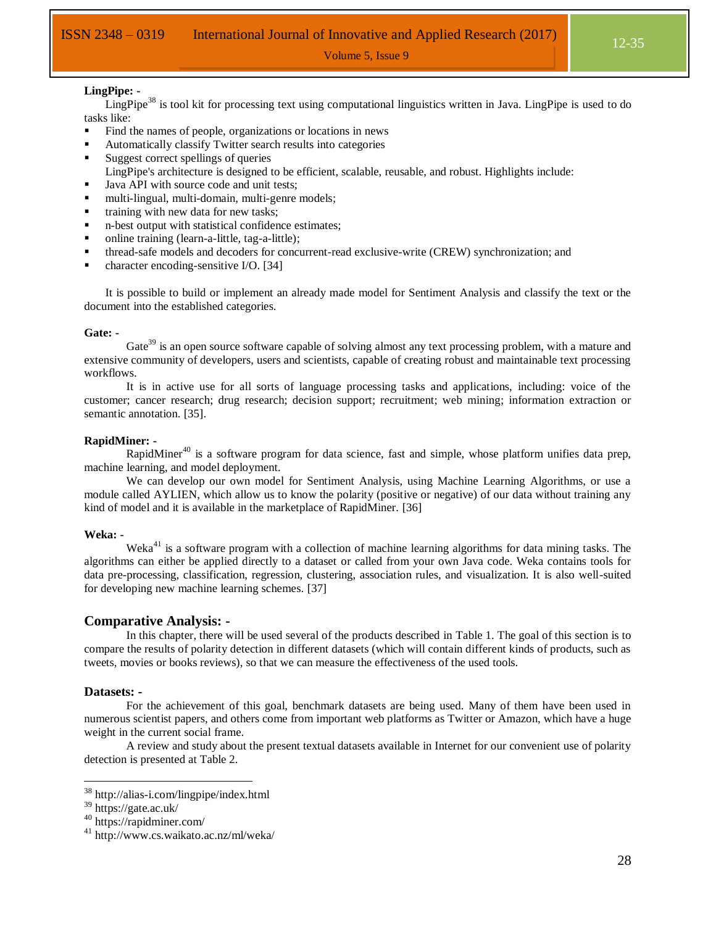#### **LingPipe: -**

LingPipe<sup>38</sup> is tool kit for processing text using computational linguistics written in Java. LingPipe is used to do tasks like:

- Find the names of people, organizations or locations in news
- Automatically classify Twitter search results into categories
- Suggest correct spellings of queries
- LingPipe's architecture is designed to be efficient, scalable, reusable, and robust. Highlights include:
- I Java API with source code and unit tests;
- multi-lingual, multi-domain, multi-genre models;
- training with new data for new tasks;
- n-best output with statistical confidence estimates;
- online training (learn-a-little, tag-a-little);
- thread-safe models and decoders for concurrent-read exclusive-write (CREW) synchronization; and
- character encoding-sensitive I/O. [34]

It is possible to build or implement an already made model for Sentiment Analysis and classify the text or the document into the established categories.

#### **Gate: -**

Gate<sup>39</sup> is an open source software capable of solving almost any text processing problem, with a mature and extensive community of developers, users and scientists, capable of creating robust and maintainable text processing workflows.

It is in active use for all sorts of language processing tasks and applications, including: voice of the customer; cancer research; drug research; decision support; recruitment; web mining; information extraction or semantic annotation. [35].

#### **RapidMiner: -**

RapidMiner<sup>40</sup> is a software program for data science, fast and simple, whose platform unifies data prep, machine learning, and model deployment.

We can develop our own model for Sentiment Analysis, using Machine Learning Algorithms, or use a module called AYLIEN, which allow us to know the polarity (positive or negative) of our data without training any kind of model and it is available in the marketplace of RapidMiner. [36]

#### **Weka: -**

Weka<sup>41</sup> is a software program with a collection of machine learning algorithms for data mining tasks. The algorithms can either be applied directly to a dataset or called from your own Java code. Weka contains tools for data pre-processing, classification, regression, clustering, association rules, and visualization. It is also well-suited for developing new machine learning schemes. [37]

#### **Comparative Analysis: -**

In this chapter, there will be used several of the products described in [Table 1.](#page-7-0) The goal of this section is to compare the results of polarity detection in different datasets (which will contain different kinds of products, such as tweets, movies or books reviews), so that we can measure the effectiveness of the used tools.

#### **Datasets: -**

 $\overline{a}$ 

For the achievement of this goal, benchmark datasets are being used. Many of them have been used in numerous scientist papers, and others come from important web platforms as Twitter or Amazon, which have a huge weight in the current social frame.

A review and study about the present textual datasets available in Internet for our convenient use of polarity detection is presented at [Table 2.](#page-18-0)

<sup>38</sup> http://alias-i.com/lingpipe/index.html

<sup>39</sup> https://gate.ac.uk/

<sup>40</sup> https://rapidminer.com/

<sup>41</sup> http://www.cs.waikato.ac.nz/ml/weka/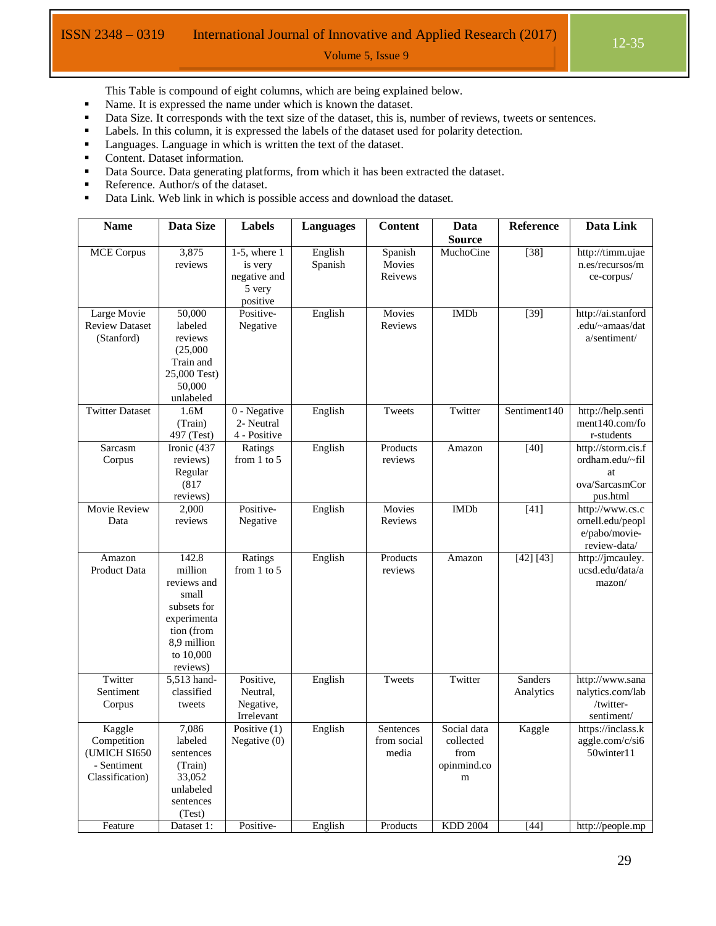This Table is compound of eight columns, which are being explained below.

- Name. It is expressed the name under which is known the dataset.
- Data Size. It corresponds with the text size of the dataset, this is, number of reviews, tweets or sentences.

- **•** Labels. In this column, it is expressed the labels of the dataset used for polarity detection.
- **Languages.** Language in which is written the text of the dataset.
- **Content.** Dataset information.
- Data Source. Data generating platforms, from which it has been extracted the dataset.
- Reference. Author/s of the dataset.
- Data Link. Web link in which is possible access and download the dataset.

| <b>Name</b>                          | Data Size                 | <b>Labels</b>         | <b>Languages</b> | <b>Content</b> | Data            | Reference         | Data Link                             |
|--------------------------------------|---------------------------|-----------------------|------------------|----------------|-----------------|-------------------|---------------------------------------|
|                                      |                           |                       |                  |                | <b>Source</b>   |                   |                                       |
| <b>MCE Corpus</b>                    | 3,875                     | $1-5$ , where $1$     | English          | Spanish        | MuchoCine       | $\overline{[38]}$ | http://timm.ujae                      |
|                                      | reviews                   | is very               | Spanish          | Movies         |                 |                   | n.es/recursos/m                       |
|                                      |                           | negative and          |                  | Reivews        |                 |                   | ce-corpus/                            |
|                                      |                           | 5 very                |                  |                |                 |                   |                                       |
|                                      | 50,000                    | positive<br>Positive- |                  | Movies         | <b>IMDb</b>     |                   |                                       |
| Large Movie<br><b>Review Dataset</b> | labeled                   | Negative              | English          | <b>Reviews</b> |                 | $[39]$            | http://ai.stanford<br>.edu/~amaas/dat |
| (Stanford)                           | reviews                   |                       |                  |                |                 |                   | a/sentiment/                          |
|                                      | (25,000)                  |                       |                  |                |                 |                   |                                       |
|                                      | Train and                 |                       |                  |                |                 |                   |                                       |
|                                      | 25,000 Test)              |                       |                  |                |                 |                   |                                       |
|                                      | 50,000                    |                       |                  |                |                 |                   |                                       |
|                                      | unlabeled                 |                       |                  |                |                 |                   |                                       |
| <b>Twitter Dataset</b>               | 1.6M                      | 0 - Negative          | English          | Tweets         | Twitter         | Sentiment140      | http://help.senti                     |
|                                      | (Train)                   | 2- Neutral            |                  |                |                 |                   | ment140.com/fo                        |
|                                      | 497 (Test)                | 4 - Positive          |                  |                |                 |                   | r-students                            |
| Sarcasm                              | Ironic (437               | Ratings               | English          | Products       | Amazon          | $[40]$            | http://storm.cis.f                    |
| Corpus                               | reviews)                  | from $1$ to $5$       |                  | reviews        |                 |                   | ordham.edu/~fil                       |
|                                      | Regular                   |                       |                  |                |                 |                   | at                                    |
|                                      | (817)<br>reviews)         |                       |                  |                |                 |                   | ova/SarcasmCor                        |
| <b>Movie Review</b>                  | 2,000                     | Positive-             | English          | Movies         | <b>IMDb</b>     | $[41]$            | pus.html<br>http://www.cs.c           |
| Data                                 | reviews                   | Negative              |                  | Reviews        |                 |                   | ornell.edu/peopl                      |
|                                      |                           |                       |                  |                |                 |                   | e/pabo/movie-                         |
|                                      |                           |                       |                  |                |                 |                   | review-data/                          |
| Amazon                               | 142.8                     | Ratings               | English          | Products       | Amazon          | [42] [43]         | http://jmcauley.                      |
| Product Data                         | million                   | from 1 to 5           |                  | reviews        |                 |                   | ucsd.edu/data/a                       |
|                                      | reviews and               |                       |                  |                |                 |                   | mazon/                                |
|                                      | small                     |                       |                  |                |                 |                   |                                       |
|                                      | subsets for               |                       |                  |                |                 |                   |                                       |
|                                      | experimenta               |                       |                  |                |                 |                   |                                       |
|                                      | tion (from<br>8,9 million |                       |                  |                |                 |                   |                                       |
|                                      | to 10,000                 |                       |                  |                |                 |                   |                                       |
|                                      | reviews)                  |                       |                  |                |                 |                   |                                       |
| Twitter                              | 5,513 hand-               | Positive,             | English          | Tweets         | Twitter         | Sanders           | http://www.sana                       |
| Sentiment                            | classified                | Neutral,              |                  |                |                 | Analytics         | nalytics.com/lab                      |
| Corpus                               | tweets                    | Negative,             |                  |                |                 |                   | /twitter-                             |
|                                      |                           | Irrelevant            |                  |                |                 |                   | sentiment/                            |
| Kaggle                               | 7,086                     | Positive $(1)$        | English          | Sentences      | Social data     | Kaggle            | https://inclass.k                     |
| Competition                          | labeled                   | Negative (0)          |                  | from social    | collected       |                   | aggle.com/c/si6                       |
| (UMICH SI650                         | sentences                 |                       |                  | media          | from            |                   | 50winter11                            |
| - Sentiment                          | (Train)                   |                       |                  |                | opinmind.co     |                   |                                       |
| Classification)                      | 33,052<br>unlabeled       |                       |                  |                | m               |                   |                                       |
|                                      | sentences                 |                       |                  |                |                 |                   |                                       |
|                                      | (Test)                    |                       |                  |                |                 |                   |                                       |
| Feature                              | Dataset 1:                | Positive-             | English          | Products       | <b>KDD 2004</b> | $[44]$            | http://people.mp                      |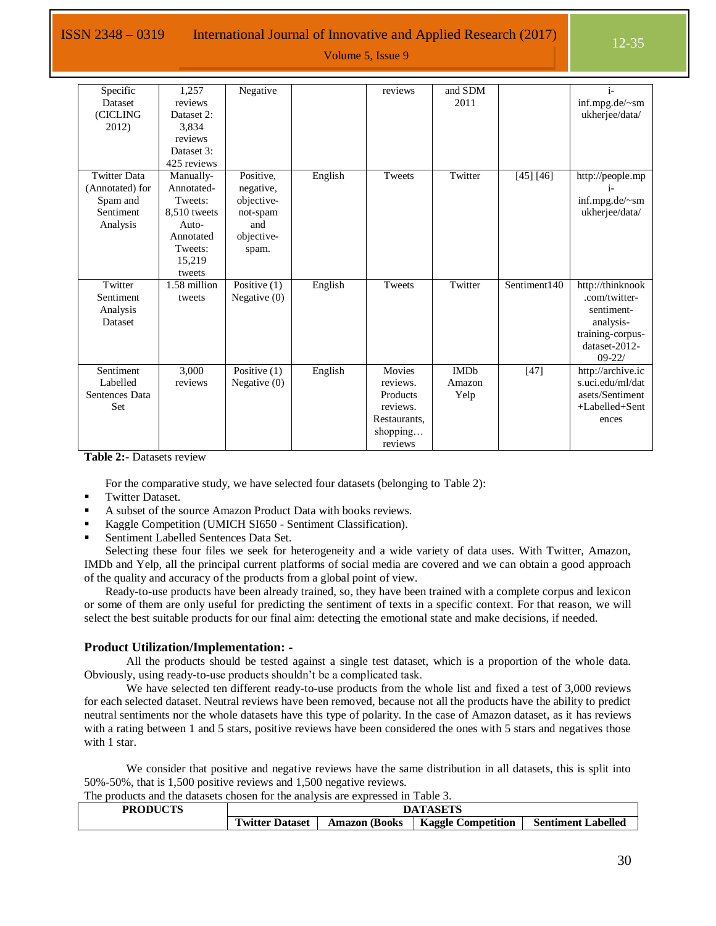ISSN 2348 – 0319 International Journal of Innovative and Applied Research  $(2017)$  12-35

Volume 5, Issue 9

| Specific<br><b>Dataset</b><br>(CICLING<br>2012)                             | 1.257<br>reviews<br>Dataset 2:<br>3,834<br>reviews<br>Dataset 3:<br>425 reviews                         | Negative                                                                       |         | reviews                                                                           | and SDM<br>2011               |              | $i-$<br>inf.mpg.de/~sm<br>ukherjee/data/                                                                        |
|-----------------------------------------------------------------------------|---------------------------------------------------------------------------------------------------------|--------------------------------------------------------------------------------|---------|-----------------------------------------------------------------------------------|-------------------------------|--------------|-----------------------------------------------------------------------------------------------------------------|
| <b>Twitter Data</b><br>(Annotated) for<br>Spam and<br>Sentiment<br>Analysis | Manually-<br>Annotated-<br>Tweets:<br>8.510 tweets<br>Auto-<br>Annotated<br>Tweets:<br>15,219<br>tweets | Positive,<br>negative,<br>objective-<br>not-spam<br>and<br>objective-<br>spam. | English | Tweets                                                                            | Twitter                       | [45] [46]    | http://people.mp<br>inf.mpg.de/~sm<br>ukherjee/data/                                                            |
| Twitter<br>Sentiment<br>Analysis<br>Dataset                                 | 1.58 million<br>tweets                                                                                  | Positive $(1)$<br>Negative $(0)$                                               | English | Tweets                                                                            | Twitter                       | Sentiment140 | http://thinknook<br>.com/twitter-<br>sentiment-<br>analysis-<br>training-corpus-<br>dataset-2012-<br>$09 - 22/$ |
| Sentiment<br>Labelled<br>Sentences Data<br>Set                              | 3,000<br>reviews                                                                                        | Positive $(1)$<br>Negative $(0)$                                               | English | Movies<br>reviews.<br>Products<br>reviews.<br>Restaurants,<br>shopping<br>reviews | <b>IMDb</b><br>Amazon<br>Yelp | $[47]$       | http://archive.ic<br>s.uci.edu/ml/dat<br>asets/Sentiment<br>+Labelled+Sent<br>ences                             |

<span id="page-18-0"></span>**Table 2:-** Datasets review

For the comparative study, we have selected four datasets (belonging to [Table 2\)](#page-18-0):

- Twitter Dataset.
- A subset of the source Amazon Product Data with books reviews.
- Kaggle Competition (UMICH SI650 Sentiment Classification).
- Sentiment Labelled Sentences Data Set.

Selecting these four files we seek for heterogeneity and a wide variety of data uses. With Twitter, Amazon, IMDb and Yelp, all the principal current platforms of social media are covered and we can obtain a good approach of the quality and accuracy of the products from a global point of view.

Ready-to-use products have been already trained, so, they have been trained with a complete corpus and lexicon or some of them are only useful for predicting the sentiment of texts in a specific context. For that reason, we will select the best suitable products for our final aim: detecting the emotional state and make decisions, if needed.

#### **Product Utilization/Implementation: -**

All the products should be tested against a single test dataset, which is a proportion of the whole data. Obviously, using ready-to-use products shouldn't be a complicated task.

We have selected ten different ready-to-use products from the whole list and fixed a test of 3,000 reviews for each selected dataset. Neutral reviews have been removed, because not all the products have the ability to predict neutral sentiments nor the whole datasets have this type of polarity. In the case of Amazon dataset, as it has reviews with a rating between 1 and 5 stars, positive reviews have been considered the ones with 5 stars and negatives those with 1 star.

We consider that positive and negative reviews have the same distribution in all datasets, this is split into 50%-50%, that is 1,500 positive reviews and 1,500 negative reviews.

The products and the datasets chosen for the analysis are expressed in [Table 3.](#page-19-0)

| <b>PRODUCTS</b> |                                          |                  | <b>DATASETS</b>         |                       |
|-----------------|------------------------------------------|------------------|-------------------------|-----------------------|
|                 | <b>CONTRACTOR</b><br>l witter<br>Dataset | (Books<br>Amazon | Competition<br>Kaggle ( | Labelled<br>Sentiment |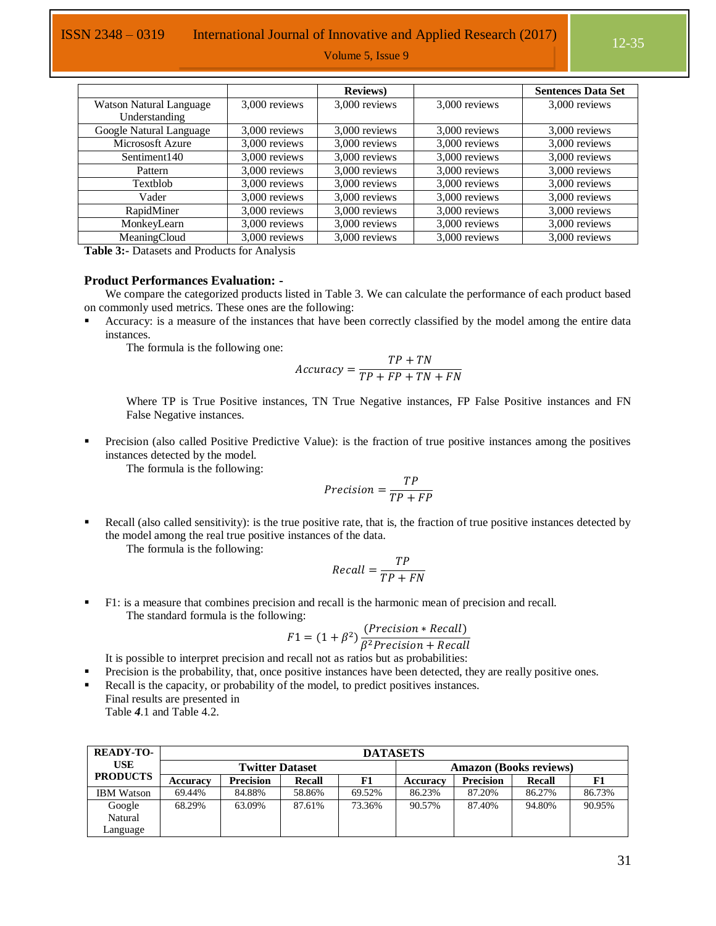|                                                 |               | <b>Reviews</b> ) |               | <b>Sentences Data Set</b> |
|-------------------------------------------------|---------------|------------------|---------------|---------------------------|
| <b>Watson Natural Language</b><br>Understanding | 3,000 reviews | 3,000 reviews    | 3,000 reviews | 3,000 reviews             |
| Google Natural Language                         | 3,000 reviews | 3,000 reviews    | 3,000 reviews | 3,000 reviews             |
| Micrososft Azure                                | 3,000 reviews | 3,000 reviews    | 3,000 reviews | 3,000 reviews             |
| Sentiment140                                    | 3,000 reviews | 3,000 reviews    | 3,000 reviews | 3,000 reviews             |
| Pattern                                         | 3,000 reviews | 3,000 reviews    | 3,000 reviews | 3,000 reviews             |
| Textblob                                        | 3,000 reviews | 3,000 reviews    | 3,000 reviews | 3,000 reviews             |
| Vader                                           | 3,000 reviews | 3,000 reviews    | 3,000 reviews | 3,000 reviews             |
| RapidMiner                                      | 3,000 reviews | 3,000 reviews    | 3,000 reviews | 3,000 reviews             |
| MonkeyLearn                                     | 3,000 reviews | 3,000 reviews    | 3,000 reviews | 3,000 reviews             |
| MeaningCloud                                    | 3,000 reviews | 3,000 reviews    | 3,000 reviews | 3,000 reviews             |

<span id="page-19-0"></span>**Table 3:-** Datasets and Products for Analysis

#### **Product Performances Evaluation: -**

We compare the categorized products listed in [Table 3.](#page-19-0) We can calculate the performance of each product based on commonly used metrics. These ones are the following:

 Accuracy: is a measure of the instances that have been correctly classified by the model among the entire data instances.

The formula is the following one:

$$
Accuracy = \frac{TP + TN}{TP + FP + TN + FN}
$$

Where TP is True Positive instances, TN True Negative instances, FP False Positive instances and FN False Negative instances.

 Precision (also called Positive Predictive Value): is the fraction of true positive instances among the positives instances detected by the model.

The formula is the following:

$$
Precision = \frac{TP}{TP + FP}
$$

 Recall (also called sensitivity): is the true positive rate, that is, the fraction of true positive instances detected by the model among the real true positive instances of the data.

The formula is the following:

$$
Recall = \frac{TP}{TP + FN}
$$

 F1: is a measure that combines precision and recall is the harmonic mean of precision and recall. The standard formula is the following:

$$
F1 = (1 + \beta^2) \frac{(Precision * Recall)}{\beta^2 Precision + Recall}
$$

It is possible to interpret precision and recall not as ratios but as probabilities:

- Precision is the probability, that, once positive instances have been detected, they are really positive ones.
- Recall is the capacity, or probability of the model, to predict positives instances. Final results are presented i[n](#page-20-0)

[Table](#page-20-0) *4*.1 and [Table 4](#page-20-1).2.

| <b>READY-TO-</b>  |          |                        |               | <b>DATASETS</b> |                               |                  |               |        |
|-------------------|----------|------------------------|---------------|-----------------|-------------------------------|------------------|---------------|--------|
| <b>USE</b>        |          | <b>Twitter Dataset</b> |               |                 | <b>Amazon (Books reviews)</b> |                  |               |        |
| <b>PRODUCTS</b>   | Accuracy | <b>Precision</b>       | <b>Recall</b> | F1              | <b>Accuracy</b>               | <b>Precision</b> | <b>Recall</b> |        |
| <b>IBM Watson</b> | 69.44%   | 84.88%                 | 58.86%        | 69.52%          | 86.23%                        | 87.20%           | 86.27%        | 86.73% |
| Google            | 68.29%   | 63.09%                 | 87.61%        | 73.36%          | 90.57%                        | 87.40%           | 94.80%        | 90.95% |
| Natural           |          |                        |               |                 |                               |                  |               |        |
| Language          |          |                        |               |                 |                               |                  |               |        |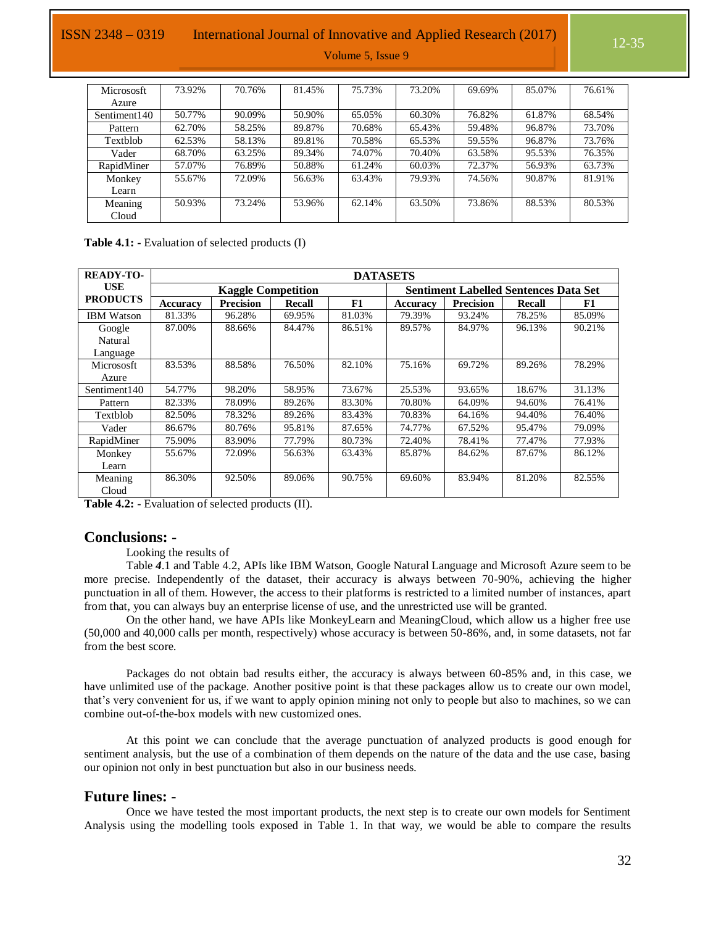### ISSN 2348 – 0319 International Journal of Innovative and Applied Research (2017)

Volume 5, Issue 9

| <b>Micrososft</b>        | 73.92% | 70.76% | 81.45% | 75.73% | 73.20% | 69.69% | 85.07% | 76.61% |
|--------------------------|--------|--------|--------|--------|--------|--------|--------|--------|
| Azure                    |        |        |        |        |        |        |        |        |
| Sentiment <sub>140</sub> | 50.77% | 90.09% | 50.90% | 65.05% | 60.30% | 76.82% | 61.87% | 68.54% |
| Pattern                  | 62.70% | 58.25% | 89.87% | 70.68% | 65.43% | 59.48% | 96.87% | 73.70% |
| Textblob                 | 62.53% | 58.13% | 89.81% | 70.58% | 65.53% | 59.55% | 96.87% | 73.76% |
| Vader                    | 68.70% | 63.25% | 89.34% | 74.07% | 70.40% | 63.58% | 95.53% | 76.35% |
| RapidMiner               | 57.07% | 76.89% | 50.88% | 61.24% | 60.03% | 72.37% | 56.93% | 63.73% |
| Monkey                   | 55.67% | 72.09% | 56.63% | 63.43% | 79.93% | 74.56% | 90.87% | 81.91% |
| Learn                    |        |        |        |        |        |        |        |        |
| Meaning                  | 50.93% | 73.24% | 53.96% | 62.14% | 63.50% | 73.86% | 88.53% | 80.53% |
| Cloud                    |        |        |        |        |        |        |        |        |

<span id="page-20-0"></span>**Table 4.1: -** Evaluation of selected products (I)

| <b>READY-TO-</b>         |                           |                  | <b>DATASETS</b> |        |                                              |                  |        |        |
|--------------------------|---------------------------|------------------|-----------------|--------|----------------------------------------------|------------------|--------|--------|
| <b>USE</b>               | <b>Kaggle Competition</b> |                  |                 |        | <b>Sentiment Labelled Sentences Data Set</b> |                  |        |        |
| <b>PRODUCTS</b>          | Accuracy                  | <b>Precision</b> | <b>Recall</b>   | F1     | Accuracy                                     | <b>Precision</b> | Recall | F1     |
| <b>IBM Watson</b>        | 81.33%                    | 96.28%           | 69.95%          | 81.03% | 79.39%                                       | 93.24%           | 78.25% | 85.09% |
| Google                   | 87.00%                    | 88.66%           | 84.47%          | 86.51% | 89.57%                                       | 84.97%           | 96.13% | 90.21% |
| Natural                  |                           |                  |                 |        |                                              |                  |        |        |
| Language                 |                           |                  |                 |        |                                              |                  |        |        |
| <b>Micrososft</b>        | 83.53%                    | 88.58%           | 76.50%          | 82.10% | 75.16%                                       | 69.72%           | 89.26% | 78.29% |
| Azure                    |                           |                  |                 |        |                                              |                  |        |        |
| Sentiment <sub>140</sub> | 54.77%                    | 98.20%           | 58.95%          | 73.67% | 25.53%                                       | 93.65%           | 18.67% | 31.13% |
| Pattern                  | 82.33%                    | 78.09%           | 89.26%          | 83.30% | 70.80%                                       | 64.09%           | 94.60% | 76.41% |
| Textblob                 | 82.50%                    | 78.32%           | 89.26%          | 83.43% | 70.83%                                       | 64.16%           | 94.40% | 76.40% |
| Vader                    | 86.67%                    | 80.76%           | 95.81%          | 87.65% | 74.77%                                       | 67.52%           | 95.47% | 79.09% |
| RapidMiner               | 75.90%                    | 83.90%           | 77.79%          | 80.73% | 72.40%                                       | 78.41%           | 77.47% | 77.93% |
| Monkey                   | 55.67%                    | 72.09%           | 56.63%          | 63.43% | 85.87%                                       | 84.62%           | 87.67% | 86.12% |
| Learn                    |                           |                  |                 |        |                                              |                  |        |        |
| Meaning                  | 86.30%                    | 92.50%           | 89.06%          | 90.75% | 69.60%                                       | 83.94%           | 81.20% | 82.55% |
| Cloud                    |                           |                  |                 |        |                                              |                  |        |        |

<span id="page-20-1"></span>**Table 4.2: -** Evaluation of selected products (II).

#### **Conclusions: -**

Looking the results o[f](#page-20-0) 

[Table](#page-20-0) *4*.1 and [Table 4](#page-20-1).2, APIs like IBM Watson, Google Natural Language and Microsoft Azure seem to be more precise. Independently of the dataset, their accuracy is always between 70-90%, achieving the higher punctuation in all of them. However, the access to their platforms is restricted to a limited number of instances, apart from that, you can always buy an enterprise license of use, and the unrestricted use will be granted.

On the other hand, we have APIs like MonkeyLearn and MeaningCloud, which allow us a higher free use (50,000 and 40,000 calls per month, respectively) whose accuracy is between 50-86%, and, in some datasets, not far from the best score.

Packages do not obtain bad results either, the accuracy is always between 60-85% and, in this case, we have unlimited use of the package. Another positive point is that these packages allow us to create our own model, that's very convenient for us, if we want to apply opinion mining not only to people but also to machines, so we can combine out-of-the-box models with new customized ones.

At this point we can conclude that the average punctuation of analyzed products is good enough for sentiment analysis, but the use of a combination of them depends on the nature of the data and the use case, basing our opinion not only in best punctuation but also in our business needs.

#### **Future lines: -**

Once we have tested the most important products, the next step is to create our own models for Sentiment Analysis using the modelling tools exposed in [Table 1.](#page-7-0) In that way, we would be able to compare the results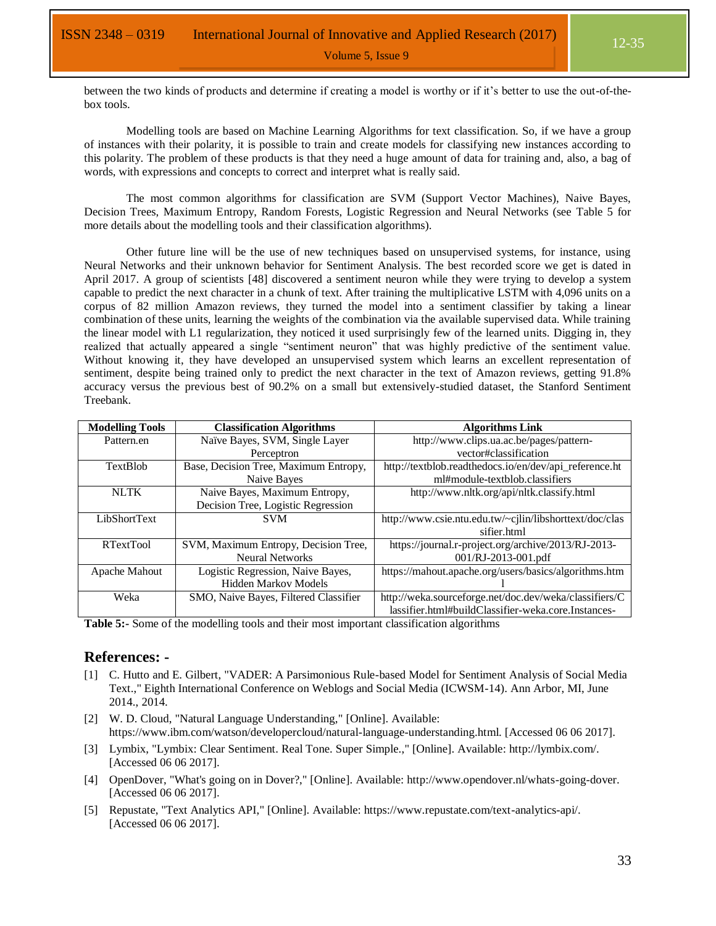12-35

between the two kinds of products and determine if creating a model is worthy or if it's better to use the out-of-thebox tools.

Modelling tools are based on Machine Learning Algorithms for text classification. So, if we have a group of instances with their polarity, it is possible to train and create models for classifying new instances according to this polarity. The problem of these products is that they need a huge amount of data for training and, also, a bag of words, with expressions and concepts to correct and interpret what is really said.

The most common algorithms for classification are SVM (Support Vector Machines), Naive Bayes, Decision Trees, Maximum Entropy, Random Forests, Logistic Regression and Neural Networks (see [Table 5](#page-21-0) for more details about the modelling tools and their classification algorithms).

Other future line will be the use of new techniques based on unsupervised systems, for instance, using Neural Networks and their unknown behavior for Sentiment Analysis. The best recorded score we get is dated in April 2017. A group of scientists [48] discovered a sentiment neuron while they were trying to develop a system capable to predict the next character in a chunk of text. After training the multiplicative LSTM with 4,096 units on a corpus of 82 million Amazon reviews, they turned the model into a sentiment classifier by taking a linear combination of these units, learning the weights of the combination via the available supervised data. While training the linear model with L1 regularization, they noticed it used surprisingly few of the learned units. Digging in, they realized that actually appeared a single "sentiment neuron" that was highly predictive of the sentiment value. Without knowing it, they have developed an unsupervised system which learns an excellent representation of sentiment, despite being trained only to predict the next character in the text of Amazon reviews, getting 91.8% accuracy versus the previous best of 90.2% on a small but extensively-studied dataset, the Stanford Sentiment Treebank.

| <b>Modelling Tools</b> | <b>Classification Algorithms</b>      | <b>Algorithms Link</b>                                  |
|------------------------|---------------------------------------|---------------------------------------------------------|
| Pattern.en             | Naïve Bayes, SVM, Single Layer        | http://www.clips.ua.ac.be/pages/pattern-                |
|                        | Perceptron                            | vector#classification                                   |
| <b>TextBlob</b>        | Base, Decision Tree, Maximum Entropy, | http://textblob.readthedocs.io/en/dev/api_reference.ht  |
|                        | Naive Bayes                           | ml#module-textblob.classifiers                          |
| <b>NLTK</b>            | Naive Bayes, Maximum Entropy,         | http://www.nltk.org/api/nltk.classify.html              |
|                        | Decision Tree, Logistic Regression    |                                                         |
| LibShortText           | <b>SVM</b>                            | http://www.csie.ntu.edu.tw/~cjlin/libshorttext/doc/clas |
|                        |                                       | sifier.html                                             |
| <b>RTextTool</b>       | SVM, Maximum Entropy, Decision Tree,  | https://journal.r-project.org/archive/2013/RJ-2013-     |
|                        | <b>Neural Networks</b>                | 001/RJ-2013-001.pdf                                     |
| Apache Mahout          | Logistic Regression, Naive Bayes,     | https://mahout.apache.org/users/basics/algorithms.htm   |
|                        | Hidden Markov Models                  |                                                         |
| Weka                   | SMO, Naive Bayes, Filtered Classifier | http://weka.sourceforge.net/doc.dev/weka/classifiers/C  |
|                        |                                       | lassifier.html#buildClassifier-weka.core.Instances-     |

<span id="page-21-0"></span>**Table 5:-** Some of the modelling tools and their most important classification algorithms

#### **References: -**

- [1] C. Hutto and E. Gilbert, "VADER: A Parsimonious Rule-based Model for Sentiment Analysis of Social Media Text.," Eighth International Conference on Weblogs and Social Media (ICWSM-14). Ann Arbor, MI, June 2014., 2014.
- [2] W. D. Cloud, "Natural Language Understanding," [Online]. Available: https://www.ibm.com/watson/developercloud/natural-language-understanding.html. [Accessed 06 06 2017].
- [3] Lymbix, "Lymbix: Clear Sentiment. Real Tone. Super Simple.," [Online]. Available: http://lymbix.com/. [Accessed 06 06 2017].
- [4] OpenDover, "What's going on in Dover?," [Online]. Available: http://www.opendover.nl/whats-going-dover. [Accessed 06 06 2017].
- [5] Repustate, "Text Analytics API," [Online]. Available: https://www.repustate.com/text-analytics-api/. [Accessed 06 06 2017].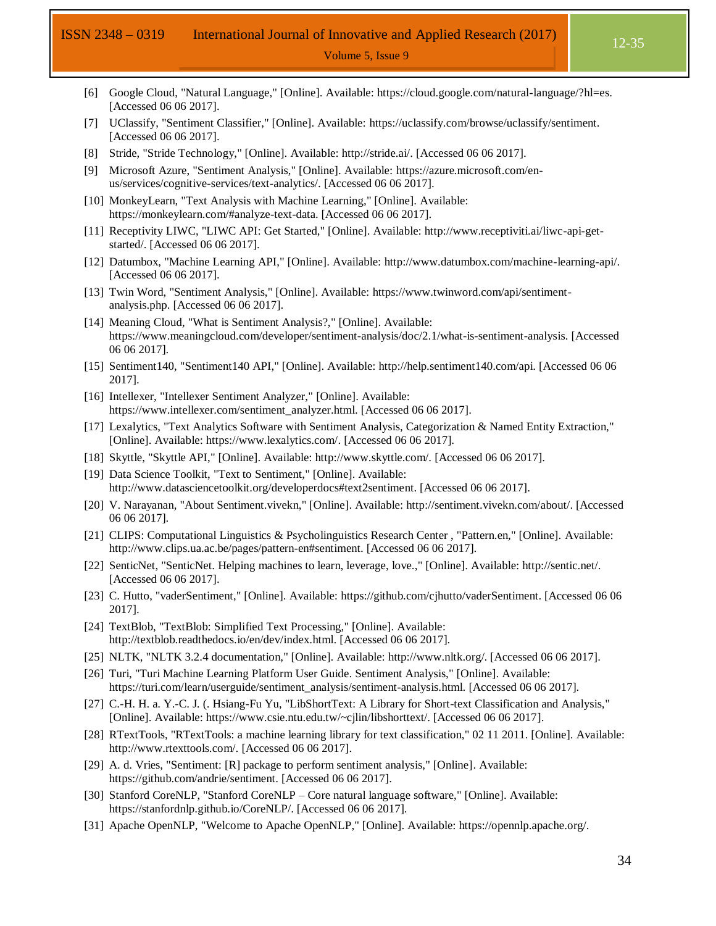## ISSN 2348 – 0319 International Journal of Innovative and Applied Research (2017)

- [6] Google Cloud, "Natural Language," [Online]. Available: https://cloud.google.com/natural-language/?hl=es. [Accessed 06 06 2017].
- [7] UClassify, "Sentiment Classifier," [Online]. Available: https://uclassify.com/browse/uclassify/sentiment. [Accessed 06 06 2017].
- [8] Stride, "Stride Technology," [Online]. Available: http://stride.ai/. [Accessed 06 06 2017].
- [9] Microsoft Azure, "Sentiment Analysis," [Online]. Available: https://azure.microsoft.com/enus/services/cognitive-services/text-analytics/. [Accessed 06 06 2017].
- [10] MonkeyLearn, "Text Analysis with Machine Learning," [Online]. Available: https://monkeylearn.com/#analyze-text-data. [Accessed 06 06 2017].
- [11] Receptivity LIWC, "LIWC API: Get Started," [Online]. Available: http://www.receptiviti.ai/liwc-api-getstarted/. [Accessed 06 06 2017].
- [12] Datumbox, "Machine Learning API," [Online]. Available: http://www.datumbox.com/machine-learning-api/. [Accessed 06 06 2017].
- [13] Twin Word, "Sentiment Analysis," [Online]. Available: https://www.twinword.com/api/sentimentanalysis.php. [Accessed 06 06 2017].
- [14] Meaning Cloud, "What is Sentiment Analysis?," [Online]. Available: https://www.meaningcloud.com/developer/sentiment-analysis/doc/2.1/what-is-sentiment-analysis. [Accessed 06 06 2017].
- [15] Sentiment140, "Sentiment140 API," [Online]. Available: http://help.sentiment140.com/api. [Accessed 06 06 2017].
- [16] Intellexer, "Intellexer Sentiment Analyzer," [Online]. Available: https://www.intellexer.com/sentiment\_analyzer.html. [Accessed 06 06 2017].
- [17] Lexalytics, "Text Analytics Software with Sentiment Analysis, Categorization & Named Entity Extraction," [Online]. Available: https://www.lexalytics.com/. [Accessed 06 06 2017].
- [18] Skyttle, "Skyttle API," [Online]. Available: http://www.skyttle.com/. [Accessed 06 06 2017].
- [19] Data Science Toolkit, "Text to Sentiment," [Online]. Available: http://www.datasciencetoolkit.org/developerdocs#text2sentiment. [Accessed 06 06 2017].
- [20] V. Narayanan, "About Sentiment.vivekn," [Online]. Available: http://sentiment.vivekn.com/about/. [Accessed 06 06 2017].
- [21] CLIPS: Computational Linguistics & Psycholinguistics Research Center , "Pattern.en," [Online]. Available: http://www.clips.ua.ac.be/pages/pattern-en#sentiment. [Accessed 06 06 2017].
- [22] SenticNet, "SenticNet. Helping machines to learn, leverage, love.," [Online]. Available: http://sentic.net/. [Accessed 06 06 2017].
- [23] C. Hutto, "vaderSentiment," [Online]. Available: https://github.com/cjhutto/vaderSentiment. [Accessed 06 06 2017].
- [24] TextBlob, "TextBlob: Simplified Text Processing," [Online]. Available: http://textblob.readthedocs.io/en/dev/index.html. [Accessed 06 06 2017].
- [25] NLTK, "NLTK 3.2.4 documentation," [Online]. Available: http://www.nltk.org/. [Accessed 06 06 2017].
- [26] Turi, "Turi Machine Learning Platform User Guide. Sentiment Analysis," [Online]. Available: https://turi.com/learn/userguide/sentiment\_analysis/sentiment-analysis.html. [Accessed 06 06 2017].
- [27] C.-H. H. a. Y.-C. J. (. Hsiang-Fu Yu, "LibShortText: A Library for Short-text Classification and Analysis," [Online]. Available: https://www.csie.ntu.edu.tw/~cjlin/libshorttext/. [Accessed 06 06 2017].
- [28] RTextTools, "RTextTools: a machine learning library for text classification," 02 11 2011. [Online]. Available: http://www.rtexttools.com/. [Accessed 06 06 2017].
- [29] A. d. Vries, "Sentiment: [R] package to perform sentiment analysis," [Online]. Available: https://github.com/andrie/sentiment. [Accessed 06 06 2017].
- [30] Stanford CoreNLP, "Stanford CoreNLP Core natural language software," [Online]. Available: https://stanfordnlp.github.io/CoreNLP/. [Accessed 06 06 2017].
- [31] Apache OpenNLP, "Welcome to Apache OpenNLP," [Online]. Available: https://opennlp.apache.org/.